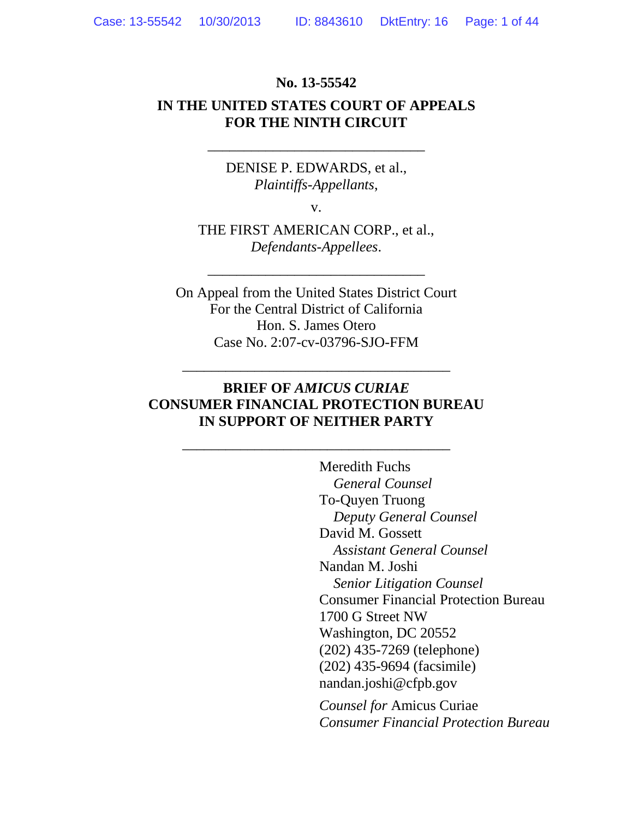### **No. 13-55542**

### **IN THE UNITED STATES COURT OF APPEALS FOR THE NINTH CIRCUIT**

\_\_\_\_\_\_\_\_\_\_\_\_\_\_\_\_\_\_\_\_\_\_\_\_\_\_\_\_\_\_

DENISE P. EDWARDS, et al., *Plaintiffs-Appellants*,

v.

THE FIRST AMERICAN CORP., et al., *Defendants-Appellees*.

\_\_\_\_\_\_\_\_\_\_\_\_\_\_\_\_\_\_\_\_\_\_\_\_\_\_\_\_\_\_

On Appeal from the United States District Court For the Central District of California Hon. S. James Otero Case No. 2:07-cv-03796-SJO-FFM

### **BRIEF OF** *AMICUS CURIAE* **CONSUMER FINANCIAL PROTECTION BUREAU IN SUPPORT OF NEITHER PARTY**

\_\_\_\_\_\_\_\_\_\_\_\_\_\_\_\_\_\_\_\_\_\_\_\_\_\_\_\_\_\_\_\_\_\_\_\_\_

\_\_\_\_\_\_\_\_\_\_\_\_\_\_\_\_\_\_\_\_\_\_\_\_\_\_\_\_\_\_\_\_\_\_\_\_\_

Meredith Fuchs *General Counsel* To-Quyen Truong *Deputy General Counsel*  David M. Gossett *Assistant General Counsel*  Nandan M. Joshi *Senior Litigation Counsel* Consumer Financial Protection Bureau 1700 G Street NW Washington, DC 20552 (202) 435-7269 (telephone) (202) 435-9694 (facsimile) nandan.joshi@cfpb.gov

*Counsel for* Amicus Curiae *Consumer Financial Protection Bureau*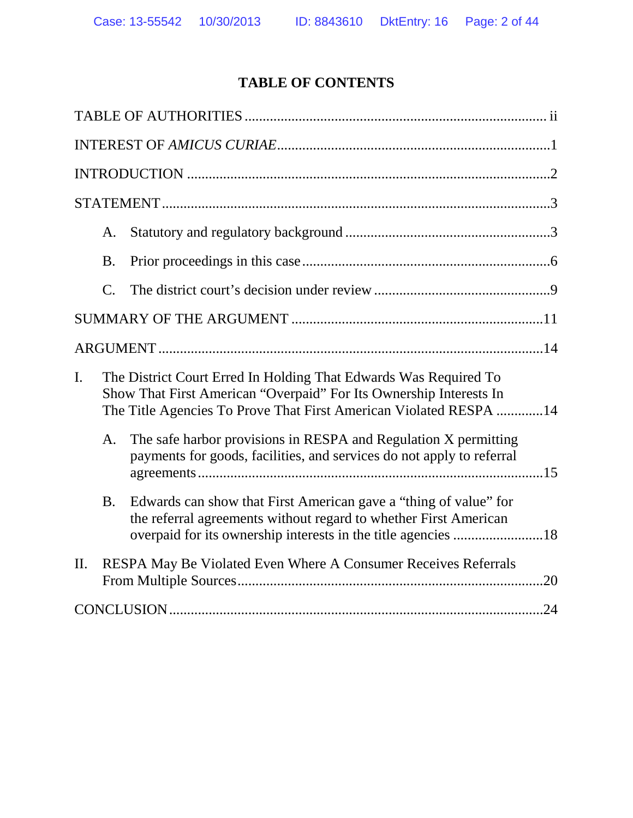# **TABLE OF CONTENTS**

|    | А.              |                                                                                                                                                                                                             |  |
|----|-----------------|-------------------------------------------------------------------------------------------------------------------------------------------------------------------------------------------------------------|--|
|    | <b>B.</b>       |                                                                                                                                                                                                             |  |
|    | $\mathcal{C}$ . |                                                                                                                                                                                                             |  |
|    |                 |                                                                                                                                                                                                             |  |
|    |                 |                                                                                                                                                                                                             |  |
| I. |                 | The District Court Erred In Holding That Edwards Was Required To<br>Show That First American "Overpaid" For Its Ownership Interests In<br>The Title Agencies To Prove That First American Violated RESPA 14 |  |
|    | A.              | The safe harbor provisions in RESPA and Regulation X permitting<br>payments for goods, facilities, and services do not apply to referral                                                                    |  |
|    | <b>B.</b>       | Edwards can show that First American gave a "thing of value" for<br>the referral agreements without regard to whether First American<br>overpaid for its ownership interests in the title agencies 18       |  |
| Π. |                 | RESPA May Be Violated Even Where A Consumer Receives Referrals                                                                                                                                              |  |
|    |                 |                                                                                                                                                                                                             |  |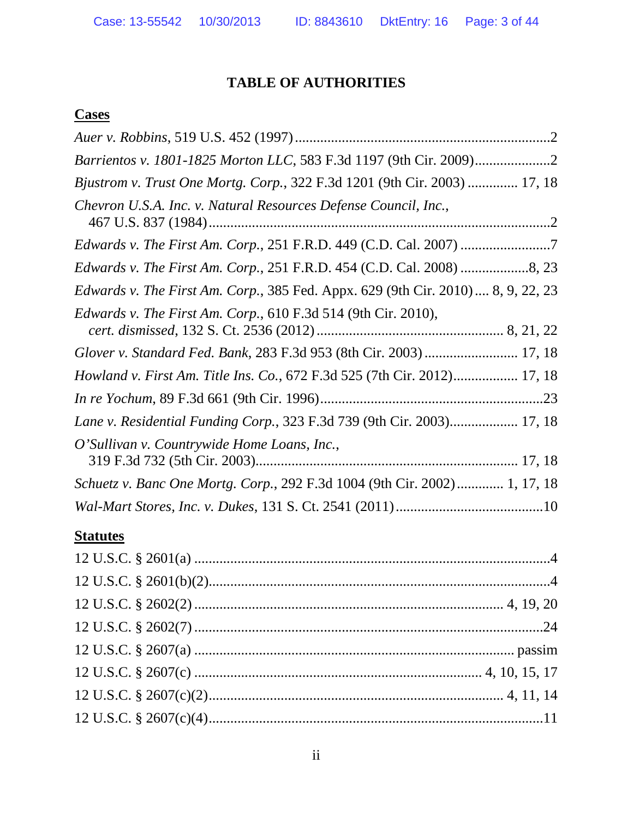## **TABLE OF AUTHORITIES**

## **Cases**

| Bjustrom v. Trust One Mortg. Corp., 322 F.3d 1201 (9th Cir. 2003)  17, 18                |
|------------------------------------------------------------------------------------------|
| Chevron U.S.A. Inc. v. Natural Resources Defense Council, Inc.,                          |
| <i>Edwards v. The First Am. Corp., 251 F.R.D. 449 (C.D. Cal. 2007) </i> 7                |
| Edwards v. The First Am. Corp., 251 F.R.D. 454 (C.D. Cal. 2008) 8, 23                    |
| <i>Edwards v. The First Am. Corp.</i> , 385 Fed. Appx. 629 (9th Cir. 2010)  8, 9, 22, 23 |
| Edwards v. The First Am. Corp., 610 F.3d 514 (9th Cir. 2010),                            |
| Glover v. Standard Fed. Bank, 283 F.3d 953 (8th Cir. 2003)  17, 18                       |
| <i>Howland v. First Am. Title Ins. Co.</i> , 672 F.3d 525 (7th Cir. 2012) 17, 18         |
|                                                                                          |
| Lane v. Residential Funding Corp., 323 F.3d 739 (9th Cir. 2003) 17, 18                   |
| O'Sullivan v. Countrywide Home Loans, Inc.,                                              |
| Schuetz v. Banc One Mortg. Corp., 292 F.3d 1004 (9th Cir. 2002) 1, 17, 18                |
|                                                                                          |

## **Statutes**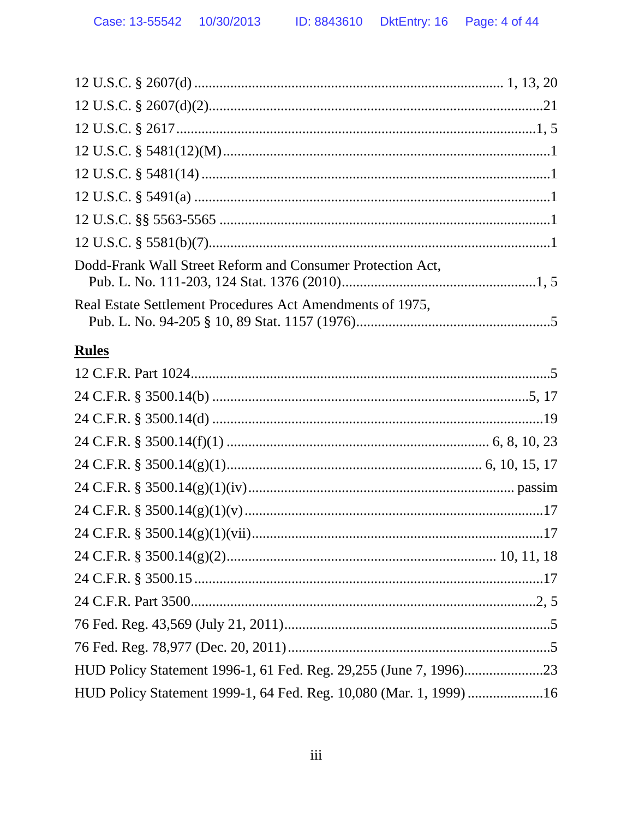| Dodd-Frank Wall Street Reform and Consumer Protection Act, |  |
|------------------------------------------------------------|--|
| Real Estate Settlement Procedures Act Amendments of 1975,  |  |
|                                                            |  |

# Rules

| HUD Policy Statement 1999-1, 64 Fed. Reg. 10,080 (Mar. 1, 1999) 16 |  |
|--------------------------------------------------------------------|--|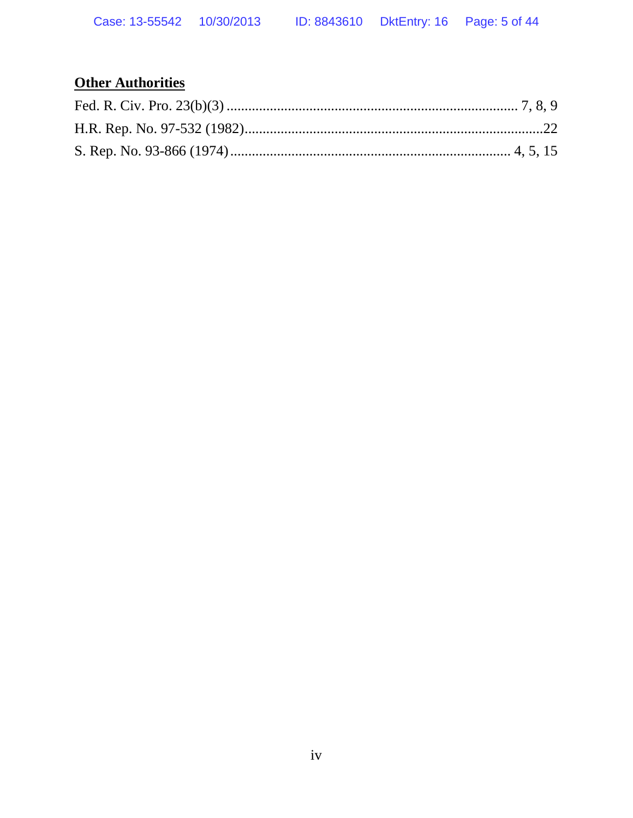# **Other Authorities**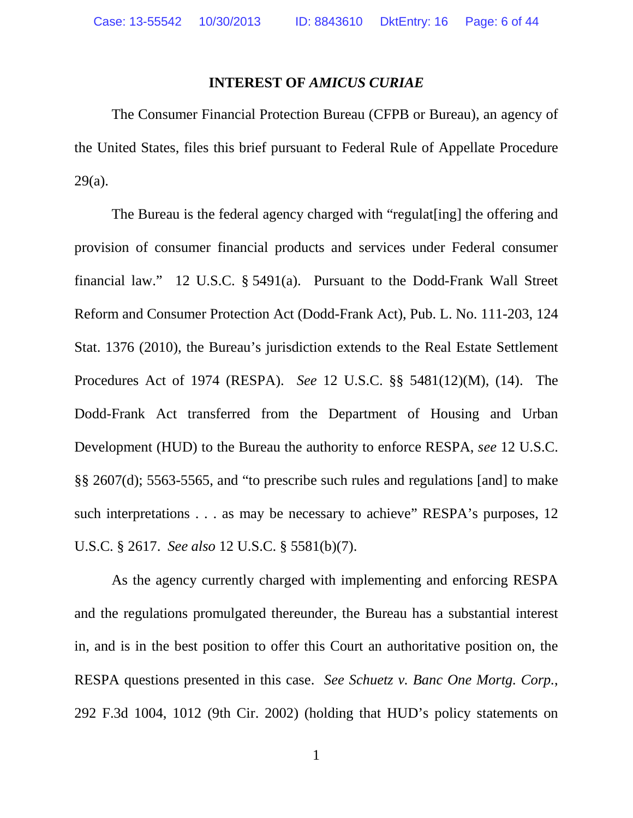#### **INTEREST OF** *AMICUS CURIAE*

The Consumer Financial Protection Bureau (CFPB or Bureau), an agency of the United States, files this brief pursuant to Federal Rule of Appellate Procedure 29(a).

The Bureau is the federal agency charged with "regulat[ing] the offering and provision of consumer financial products and services under Federal consumer financial law." 12 U.S.C. § 5491(a). Pursuant to the Dodd-Frank Wall Street Reform and Consumer Protection Act (Dodd-Frank Act), Pub. L. No. 111-203, 124 Stat. 1376 (2010), the Bureau's jurisdiction extends to the Real Estate Settlement Procedures Act of 1974 (RESPA). *See* 12 U.S.C. §§ 5481(12)(M), (14). The Dodd-Frank Act transferred from the Department of Housing and Urban Development (HUD) to the Bureau the authority to enforce RESPA, *see* 12 U.S.C. §§ 2607(d); 5563-5565, and "to prescribe such rules and regulations [and] to make such interpretations . . . as may be necessary to achieve" RESPA's purposes, 12 U.S.C. § 2617. *See also* 12 U.S.C. § 5581(b)(7).

As the agency currently charged with implementing and enforcing RESPA and the regulations promulgated thereunder, the Bureau has a substantial interest in, and is in the best position to offer this Court an authoritative position on, the RESPA questions presented in this case. *See Schuetz v. Banc One Mortg. Corp.*, 292 F.3d 1004, 1012 (9th Cir. 2002) (holding that HUD's policy statements on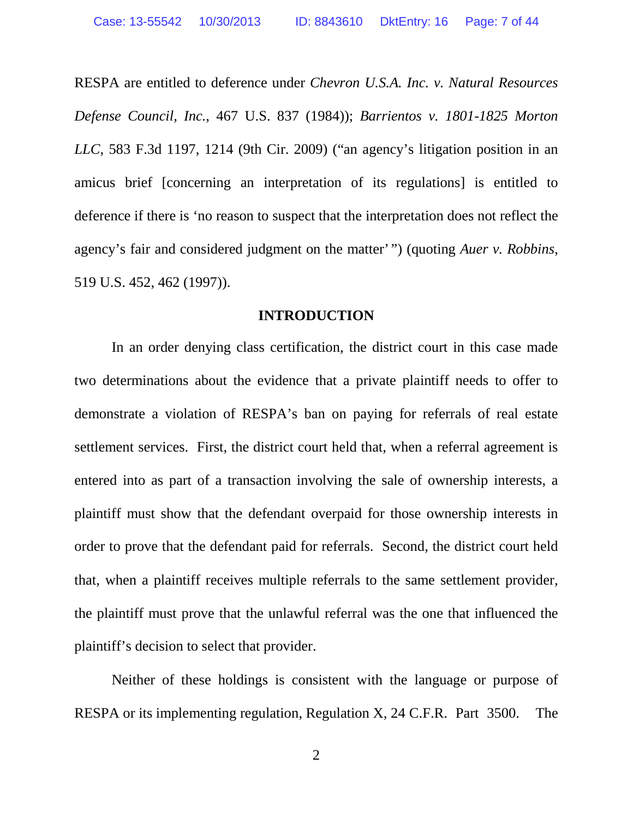RESPA are entitled to deference under *Chevron U.S.A. Inc. v. Natural Resources Defense Council, Inc.*, 467 U.S. 837 (1984)); *Barrientos v. 1801-1825 Morton LLC*, 583 F.3d 1197, 1214 (9th Cir. 2009) ("an agency's litigation position in an amicus brief [concerning an interpretation of its regulations] is entitled to deference if there is 'no reason to suspect that the interpretation does not reflect the agency's fair and considered judgment on the matter' ") (quoting *Auer v. Robbins*, 519 U.S. 452, 462 (1997)).

#### **INTRODUCTION**

In an order denying class certification, the district court in this case made two determinations about the evidence that a private plaintiff needs to offer to demonstrate a violation of RESPA's ban on paying for referrals of real estate settlement services. First, the district court held that, when a referral agreement is entered into as part of a transaction involving the sale of ownership interests, a plaintiff must show that the defendant overpaid for those ownership interests in order to prove that the defendant paid for referrals. Second, the district court held that, when a plaintiff receives multiple referrals to the same settlement provider, the plaintiff must prove that the unlawful referral was the one that influenced the plaintiff's decision to select that provider.

Neither of these holdings is consistent with the language or purpose of RESPA or its implementing regulation, Regulation X, 24 C.F.R. Part 3500. The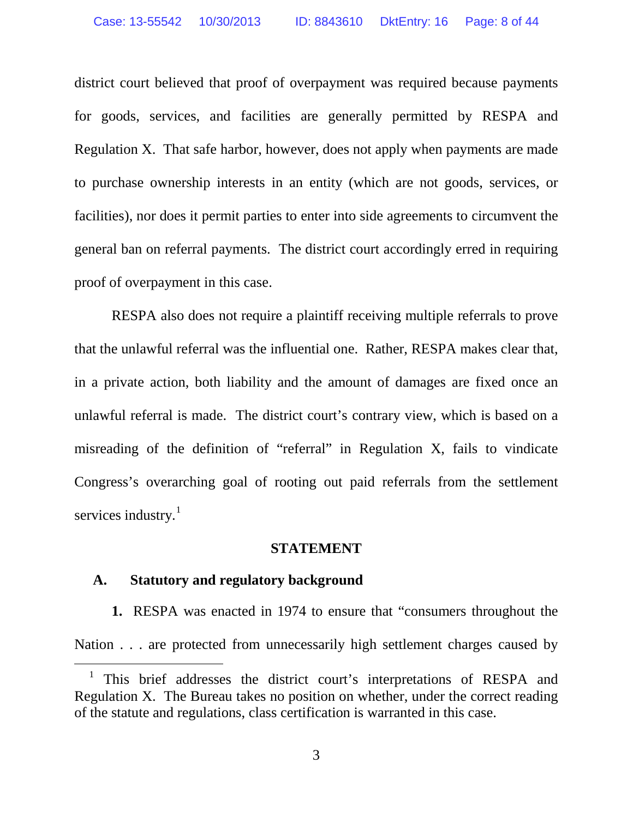district court believed that proof of overpayment was required because payments for goods, services, and facilities are generally permitted by RESPA and Regulation X. That safe harbor, however, does not apply when payments are made to purchase ownership interests in an entity (which are not goods, services, or facilities), nor does it permit parties to enter into side agreements to circumvent the general ban on referral payments. The district court accordingly erred in requiring proof of overpayment in this case.

RESPA also does not require a plaintiff receiving multiple referrals to prove that the unlawful referral was the influential one. Rather, RESPA makes clear that, in a private action, both liability and the amount of damages are fixed once an unlawful referral is made. The district court's contrary view, which is based on a misreading of the definition of "referral" in Regulation X, fails to vindicate Congress's overarching goal of rooting out paid referrals from the settlement services industry. $<sup>1</sup>$ </sup>

#### **STATEMENT**

### **A. Statutory and regulatory background**

**1.** RESPA was enacted in 1974 to ensure that "consumers throughout the Nation . . . are protected from unnecessarily high settlement charges caused by

<sup>&</sup>lt;sup>1</sup> This brief addresses the district court's interpretations of RESPA and Regulation X. The Bureau takes no position on whether, under the correct reading of the statute and regulations, class certification is warranted in this case.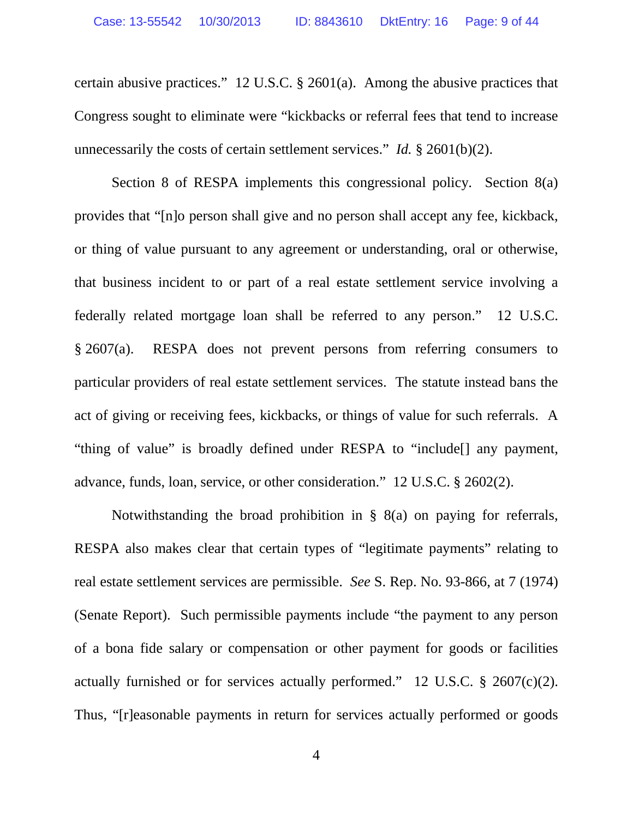certain abusive practices." 12 U.S.C. § 2601(a). Among the abusive practices that Congress sought to eliminate were "kickbacks or referral fees that tend to increase unnecessarily the costs of certain settlement services." *Id.* § 2601(b)(2).

Section 8 of RESPA implements this congressional policy. Section 8(a) provides that "[n]o person shall give and no person shall accept any fee, kickback, or thing of value pursuant to any agreement or understanding, oral or otherwise, that business incident to or part of a real estate settlement service involving a federally related mortgage loan shall be referred to any person." 12 U.S.C. § 2607(a). RESPA does not prevent persons from referring consumers to particular providers of real estate settlement services. The statute instead bans the act of giving or receiving fees, kickbacks, or things of value for such referrals. A "thing of value" is broadly defined under RESPA to "include[] any payment, advance, funds, loan, service, or other consideration." 12 U.S.C. § 2602(2).

Notwithstanding the broad prohibition in § 8(a) on paying for referrals, RESPA also makes clear that certain types of "legitimate payments" relating to real estate settlement services are permissible. *See* S. Rep. No. 93-866, at 7 (1974) (Senate Report). Such permissible payments include "the payment to any person of a bona fide salary or compensation or other payment for goods or facilities actually furnished or for services actually performed." 12 U.S.C.  $\S$  2607(c)(2). Thus, "[r]easonable payments in return for services actually performed or goods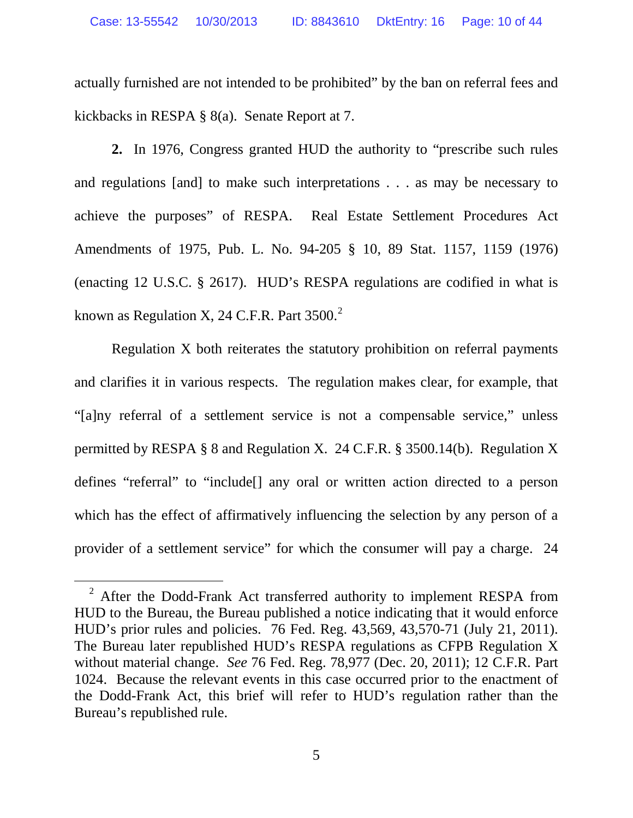actually furnished are not intended to be prohibited" by the ban on referral fees and kickbacks in RESPA § 8(a). Senate Report at 7.

**2.** In 1976, Congress granted HUD the authority to "prescribe such rules and regulations [and] to make such interpretations . . . as may be necessary to achieve the purposes" of RESPA. Real Estate Settlement Procedures Act Amendments of 1975, Pub. L. No. 94-205 § 10, 89 Stat. 1157, 1159 (1976) (enacting 12 U.S.C. § 2617). HUD's RESPA regulations are codified in what is known as Regulation X, 24 C.F.R. Part 3500. $^2$ 

Regulation X both reiterates the statutory prohibition on referral payments and clarifies it in various respects. The regulation makes clear, for example, that "[a]ny referral of a settlement service is not a compensable service," unless permitted by RESPA § 8 and Regulation X. 24 C.F.R. § 3500.14(b). Regulation X defines "referral" to "include[] any oral or written action directed to a person which has the effect of affirmatively influencing the selection by any person of a provider of a settlement service" for which the consumer will pay a charge. 24

<sup>&</sup>lt;sup>2</sup> After the Dodd-Frank Act transferred authority to implement RESPA from HUD to the Bureau, the Bureau published a notice indicating that it would enforce HUD's prior rules and policies. 76 Fed. Reg. 43,569, 43,570-71 (July 21, 2011). The Bureau later republished HUD's RESPA regulations as CFPB Regulation X without material change. *See* 76 Fed. Reg. 78,977 (Dec. 20, 2011); 12 C.F.R. Part 1024. Because the relevant events in this case occurred prior to the enactment of the Dodd-Frank Act, this brief will refer to HUD's regulation rather than the Bureau's republished rule.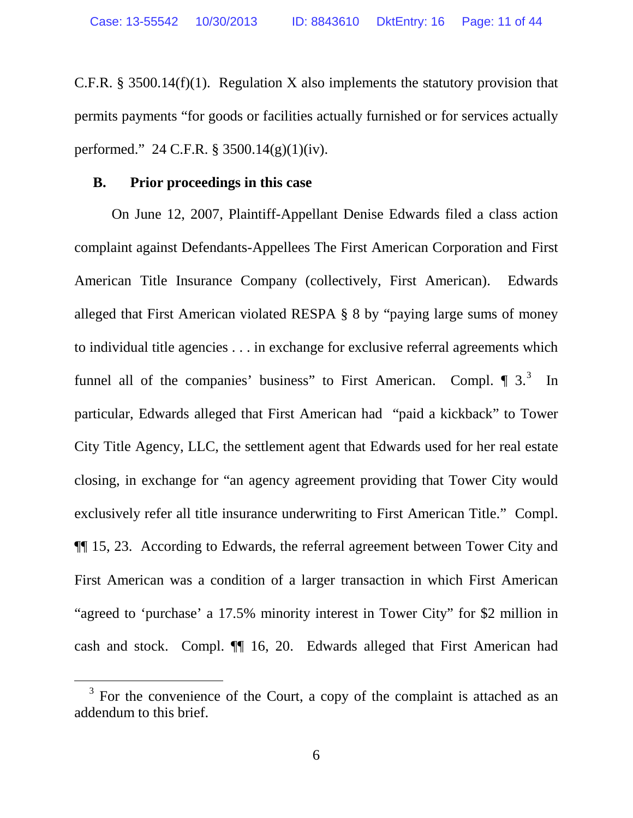C.F.R. § 3500.14(f)(1). Regulation X also implements the statutory provision that permits payments "for goods or facilities actually furnished or for services actually performed." 24 C.F.R. § 3500.14(g)(1)(iv).

### **B. Prior proceedings in this case**

On June 12, 2007, Plaintiff-Appellant Denise Edwards filed a class action complaint against Defendants-Appellees The First American Corporation and First American Title Insurance Company (collectively, First American). Edwards alleged that First American violated RESPA § 8 by "paying large sums of money to individual title agencies . . . in exchange for exclusive referral agreements which funnel all of the companies' business" to First American. Compl.  $\P$  3.<sup>3</sup> In particular, Edwards alleged that First American had "paid a kickback" to Tower City Title Agency, LLC, the settlement agent that Edwards used for her real estate closing, in exchange for "an agency agreement providing that Tower City would exclusively refer all title insurance underwriting to First American Title." Compl. ¶¶ 15, 23. According to Edwards, the referral agreement between Tower City and First American was a condition of a larger transaction in which First American "agreed to 'purchase' a 17.5% minority interest in Tower City" for \$2 million in cash and stock. Compl. ¶¶ 16, 20. Edwards alleged that First American had

 $3$  For the convenience of the Court, a copy of the complaint is attached as an addendum to this brief.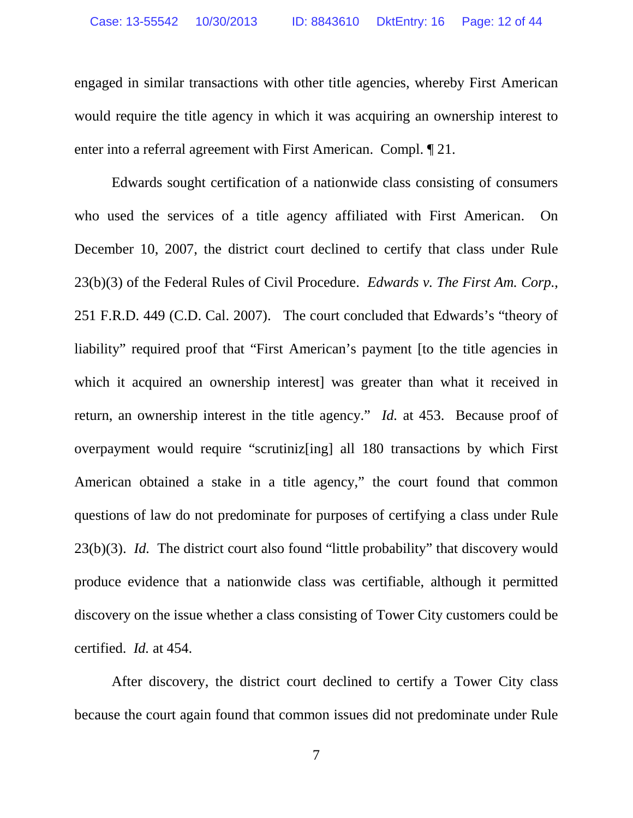engaged in similar transactions with other title agencies, whereby First American would require the title agency in which it was acquiring an ownership interest to enter into a referral agreement with First American. Compl. ¶ 21.

Edwards sought certification of a nationwide class consisting of consumers who used the services of a title agency affiliated with First American. On December 10, 2007, the district court declined to certify that class under Rule 23(b)(3) of the Federal Rules of Civil Procedure. *Edwards v. The First Am. Corp.*, 251 F.R.D. 449 (C.D. Cal. 2007). The court concluded that Edwards's "theory of liability" required proof that "First American's payment [to the title agencies in which it acquired an ownership interest] was greater than what it received in return, an ownership interest in the title agency." *Id.* at 453. Because proof of overpayment would require "scrutiniz[ing] all 180 transactions by which First American obtained a stake in a title agency," the court found that common questions of law do not predominate for purposes of certifying a class under Rule 23(b)(3). *Id.* The district court also found "little probability" that discovery would produce evidence that a nationwide class was certifiable, although it permitted discovery on the issue whether a class consisting of Tower City customers could be certified. *Id.* at 454.

After discovery, the district court declined to certify a Tower City class because the court again found that common issues did not predominate under Rule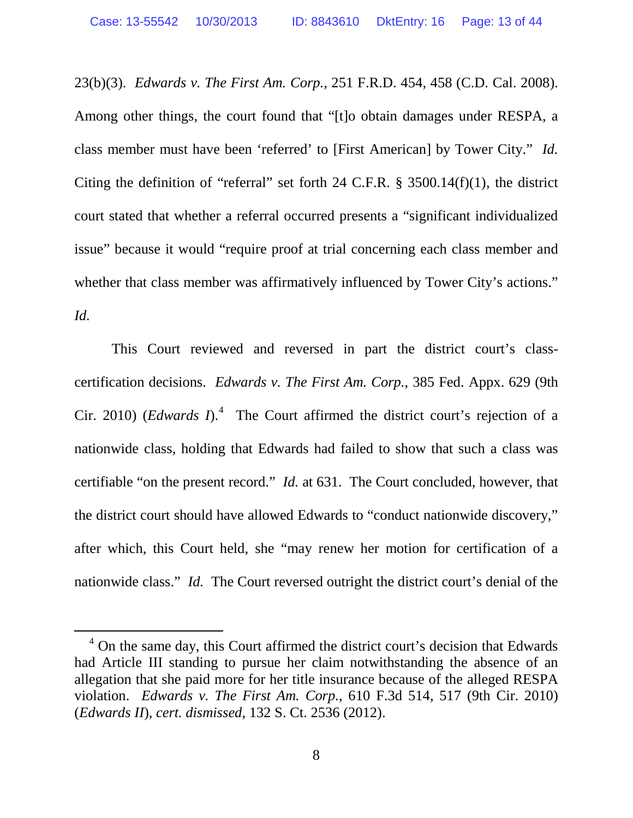23(b)(3). *Edwards v. The First Am. Corp.*, 251 F.R.D. 454, 458 (C.D. Cal. 2008). Among other things, the court found that "[t]o obtain damages under RESPA, a class member must have been 'referred' to [First American] by Tower City." *Id.* Citing the definition of "referral" set forth 24 C.F.R.  $\S$  3500.14(f)(1), the district court stated that whether a referral occurred presents a "significant individualized issue" because it would "require proof at trial concerning each class member and whether that class member was affirmatively influenced by Tower City's actions." *Id.*

This Court reviewed and reversed in part the district court's classcertification decisions. *Edwards v. The First Am. Corp.*, 385 Fed. Appx. 629 (9th Cir. 2010) (*Edwards I*).<sup>4</sup> The Court affirmed the district court's rejection of a nationwide class, holding that Edwards had failed to show that such a class was certifiable "on the present record." *Id.* at 631. The Court concluded, however, that the district court should have allowed Edwards to "conduct nationwide discovery," after which, this Court held, she "may renew her motion for certification of a nationwide class." *Id.* The Court reversed outright the district court's denial of the

<sup>&</sup>lt;sup>4</sup> On the same day, this Court affirmed the district court's decision that Edwards had Article III standing to pursue her claim notwithstanding the absence of an allegation that she paid more for her title insurance because of the alleged RESPA violation. *Edwards v. The First Am. Corp.*, 610 F.3d 514, 517 (9th Cir. 2010) (*Edwards II*), *cert. dismissed*, 132 S. Ct. 2536 (2012).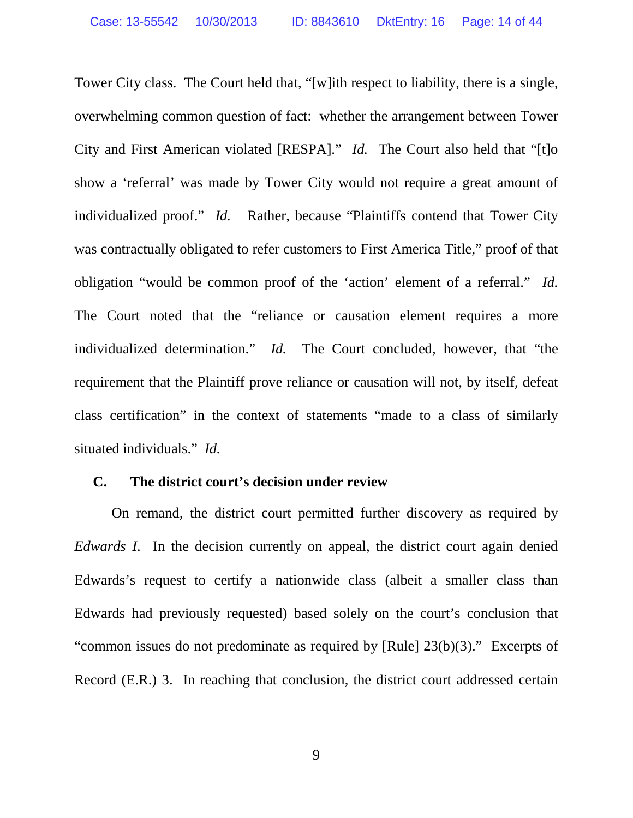Tower City class. The Court held that, "[w]ith respect to liability, there is a single, overwhelming common question of fact: whether the arrangement between Tower City and First American violated [RESPA]." *Id.* The Court also held that "[t]o show a 'referral' was made by Tower City would not require a great amount of individualized proof." *Id.* Rather, because "Plaintiffs contend that Tower City was contractually obligated to refer customers to First America Title," proof of that obligation "would be common proof of the 'action' element of a referral." *Id.* The Court noted that the "reliance or causation element requires a more individualized determination." *Id.* The Court concluded, however, that "the requirement that the Plaintiff prove reliance or causation will not, by itself, defeat class certification" in the context of statements "made to a class of similarly situated individuals." *Id.*

### **C. The district court's decision under review**

On remand, the district court permitted further discovery as required by *Edwards I*. In the decision currently on appeal, the district court again denied Edwards's request to certify a nationwide class (albeit a smaller class than Edwards had previously requested) based solely on the court's conclusion that "common issues do not predominate as required by [Rule] 23(b)(3)." Excerpts of Record (E.R.) 3. In reaching that conclusion, the district court addressed certain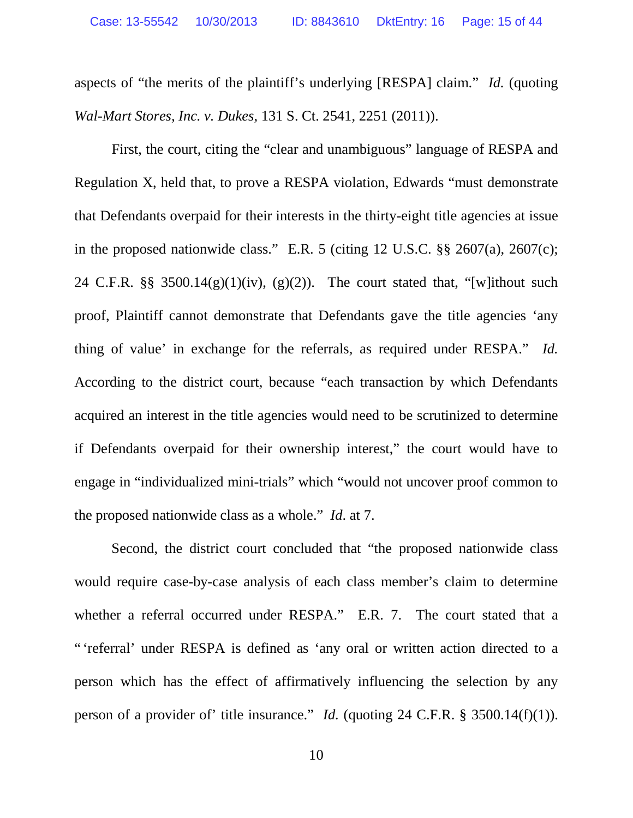aspects of "the merits of the plaintiff's underlying [RESPA] claim." *Id.* (quoting *Wal-Mart Stores, Inc. v. Dukes*, 131 S. Ct. 2541, 2251 (2011)).

First, the court, citing the "clear and unambiguous" language of RESPA and Regulation X, held that, to prove a RESPA violation, Edwards "must demonstrate that Defendants overpaid for their interests in the thirty-eight title agencies at issue in the proposed nationwide class." E.R. 5 (citing 12 U.S.C. §§ 2607(a), 2607(c); 24 C.F.R.  $\S$ § 3500.14(g)(1)(iv), (g)(2)). The court stated that, "[w]ithout such proof, Plaintiff cannot demonstrate that Defendants gave the title agencies 'any thing of value' in exchange for the referrals, as required under RESPA." *Id.* According to the district court, because "each transaction by which Defendants acquired an interest in the title agencies would need to be scrutinized to determine if Defendants overpaid for their ownership interest," the court would have to engage in "individualized mini-trials" which "would not uncover proof common to the proposed nationwide class as a whole." *Id*. at 7.

Second, the district court concluded that "the proposed nationwide class would require case-by-case analysis of each class member's claim to determine whether a referral occurred under RESPA." E.R. 7. The court stated that a " 'referral' under RESPA is defined as 'any oral or written action directed to a person which has the effect of affirmatively influencing the selection by any person of a provider of' title insurance." *Id.* (quoting 24 C.F.R. § 3500.14(f)(1)).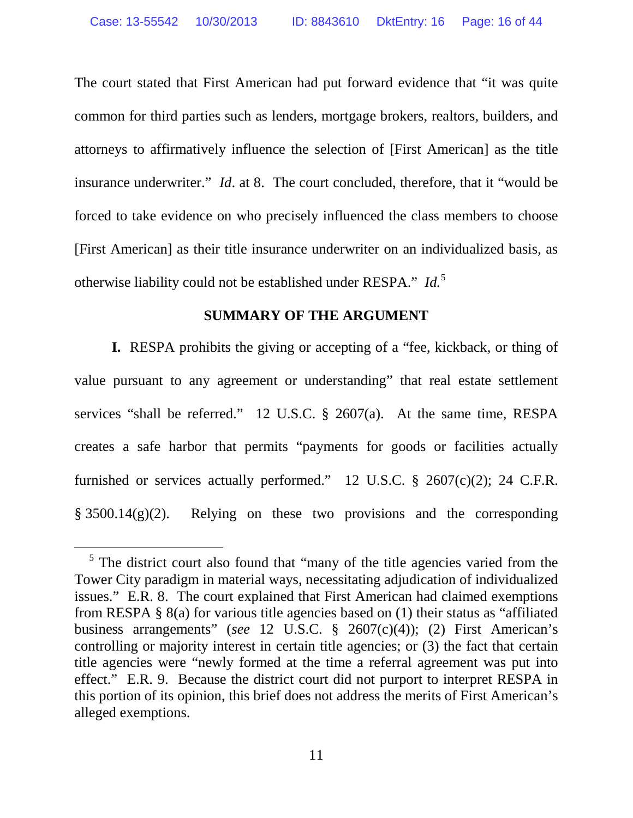The court stated that First American had put forward evidence that "it was quite common for third parties such as lenders, mortgage brokers, realtors, builders, and attorneys to affirmatively influence the selection of [First American] as the title insurance underwriter." *Id*. at 8. The court concluded, therefore, that it "would be forced to take evidence on who precisely influenced the class members to choose [First American] as their title insurance underwriter on an individualized basis, as otherwise liability could not be established under RESPA." *Id.*<sup>5</sup>

### **SUMMARY OF THE ARGUMENT**

**I.** RESPA prohibits the giving or accepting of a "fee, kickback, or thing of value pursuant to any agreement or understanding" that real estate settlement services "shall be referred." 12 U.S.C. § 2607(a). At the same time, RESPA creates a safe harbor that permits "payments for goods or facilities actually furnished or services actually performed." 12 U.S.C.  $\S$  2607(c)(2); 24 C.F.R. § 3500.14(g)(2). Relying on these two provisions and the corresponding

 $<sup>5</sup>$  The district court also found that "many of the title agencies varied from the</sup> Tower City paradigm in material ways, necessitating adjudication of individualized issues." E.R. 8. The court explained that First American had claimed exemptions from RESPA § 8(a) for various title agencies based on (1) their status as "affiliated business arrangements" (*see* 12 U.S.C. § 2607(c)(4)); (2) First American's controlling or majority interest in certain title agencies; or (3) the fact that certain title agencies were "newly formed at the time a referral agreement was put into effect." E.R. 9. Because the district court did not purport to interpret RESPA in this portion of its opinion, this brief does not address the merits of First American's alleged exemptions.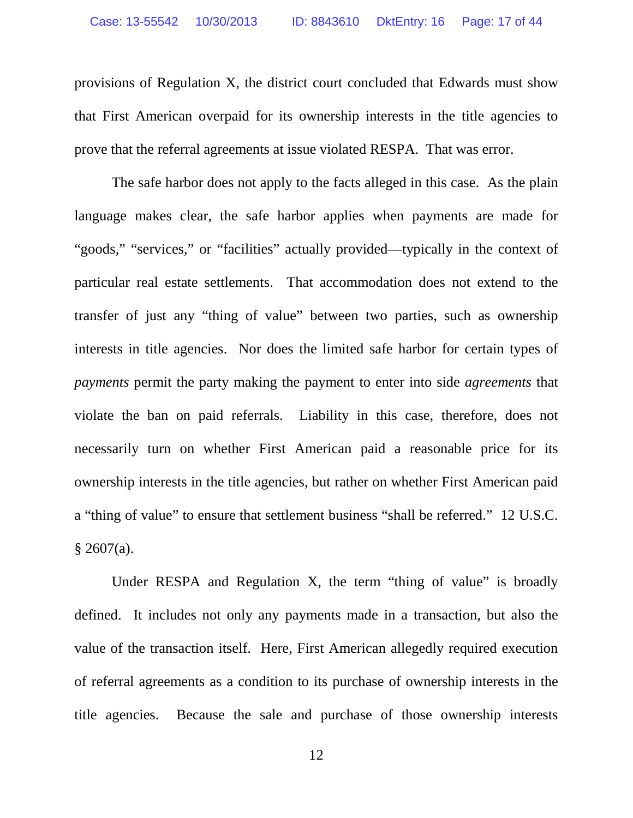provisions of Regulation X, the district court concluded that Edwards must show that First American overpaid for its ownership interests in the title agencies to prove that the referral agreements at issue violated RESPA. That was error.

The safe harbor does not apply to the facts alleged in this case. As the plain language makes clear, the safe harbor applies when payments are made for "goods," "services," or "facilities" actually provided—typically in the context of particular real estate settlements. That accommodation does not extend to the transfer of just any "thing of value" between two parties, such as ownership interests in title agencies. Nor does the limited safe harbor for certain types of *payments* permit the party making the payment to enter into side *agreements* that violate the ban on paid referrals. Liability in this case, therefore, does not necessarily turn on whether First American paid a reasonable price for its ownership interests in the title agencies, but rather on whether First American paid a "thing of value" to ensure that settlement business "shall be referred." 12 U.S.C.  $§ 2607(a).$ 

Under RESPA and Regulation X, the term "thing of value" is broadly defined. It includes not only any payments made in a transaction, but also the value of the transaction itself. Here, First American allegedly required execution of referral agreements as a condition to its purchase of ownership interests in the title agencies. Because the sale and purchase of those ownership interests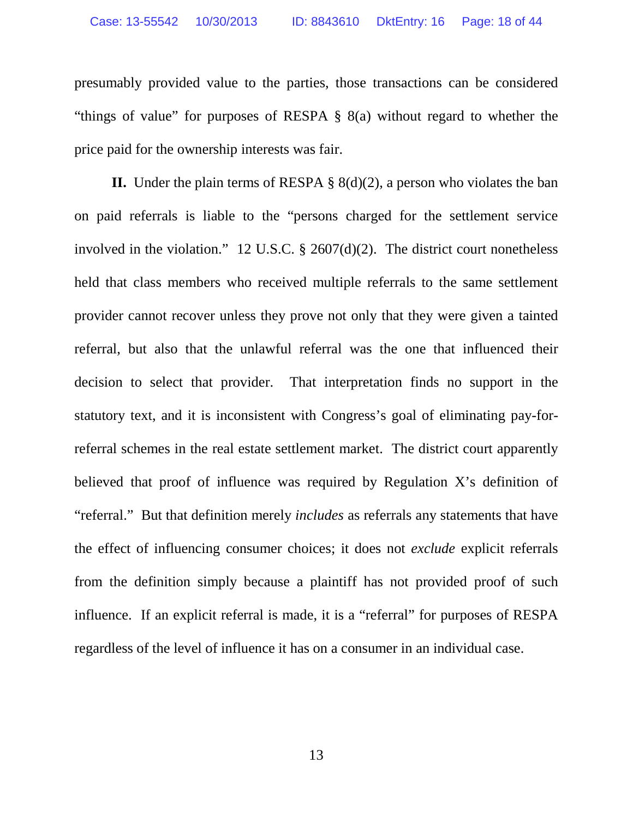presumably provided value to the parties, those transactions can be considered "things of value" for purposes of RESPA § 8(a) without regard to whether the price paid for the ownership interests was fair.

**II.** Under the plain terms of RESPA § 8(d)(2), a person who violates the ban on paid referrals is liable to the "persons charged for the settlement service involved in the violation." 12 U.S.C.  $\S$  2607(d)(2). The district court nonetheless held that class members who received multiple referrals to the same settlement provider cannot recover unless they prove not only that they were given a tainted referral, but also that the unlawful referral was the one that influenced their decision to select that provider. That interpretation finds no support in the statutory text, and it is inconsistent with Congress's goal of eliminating pay-forreferral schemes in the real estate settlement market. The district court apparently believed that proof of influence was required by Regulation X's definition of "referral." But that definition merely *includes* as referrals any statements that have the effect of influencing consumer choices; it does not *exclude* explicit referrals from the definition simply because a plaintiff has not provided proof of such influence. If an explicit referral is made, it is a "referral" for purposes of RESPA regardless of the level of influence it has on a consumer in an individual case.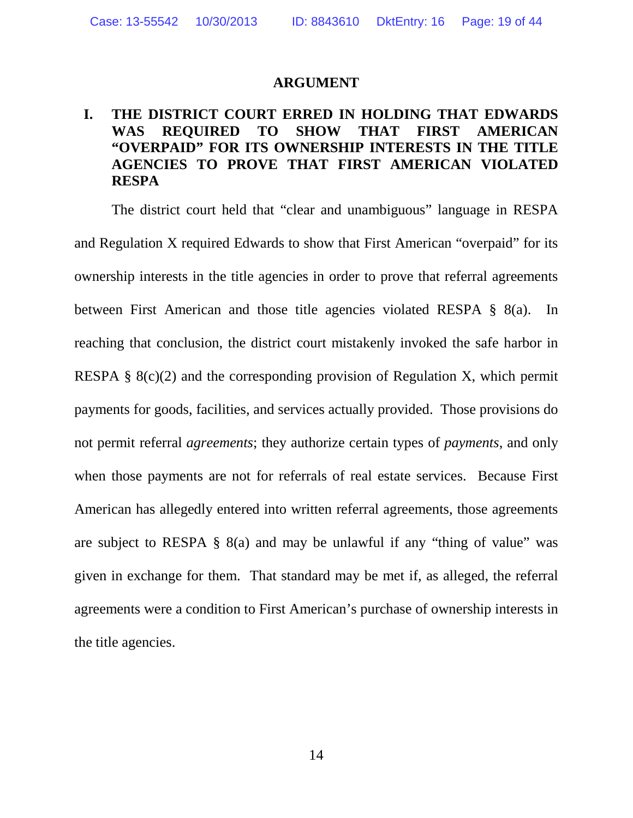### **ARGUMENT**

## **I. THE DISTRICT COURT ERRED IN HOLDING THAT EDWARDS WAS REQUIRED TO SHOW THAT FIRST AMERICAN "OVERPAID" FOR ITS OWNERSHIP INTERESTS IN THE TITLE AGENCIES TO PROVE THAT FIRST AMERICAN VIOLATED RESPA**

The district court held that "clear and unambiguous" language in RESPA and Regulation X required Edwards to show that First American "overpaid" for its ownership interests in the title agencies in order to prove that referral agreements between First American and those title agencies violated RESPA § 8(a). In reaching that conclusion, the district court mistakenly invoked the safe harbor in RESPA §  $8(c)(2)$  and the corresponding provision of Regulation X, which permit payments for goods, facilities, and services actually provided. Those provisions do not permit referral *agreements*; they authorize certain types of *payments*, and only when those payments are not for referrals of real estate services. Because First American has allegedly entered into written referral agreements, those agreements are subject to RESPA § 8(a) and may be unlawful if any "thing of value" was given in exchange for them. That standard may be met if, as alleged, the referral agreements were a condition to First American's purchase of ownership interests in the title agencies.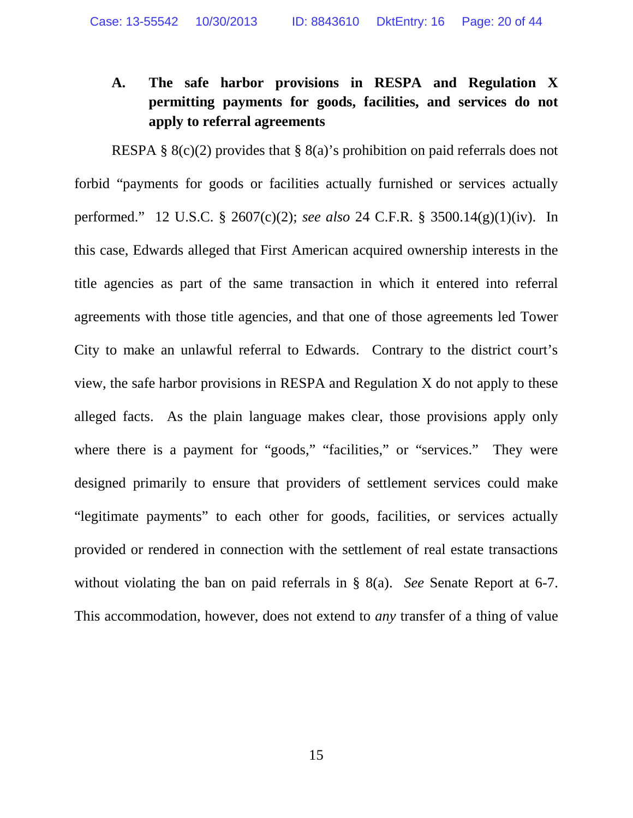## **A. The safe harbor provisions in RESPA and Regulation X permitting payments for goods, facilities, and services do not apply to referral agreements**

RESPA §  $8(c)(2)$  provides that §  $8(a)$ 's prohibition on paid referrals does not forbid "payments for goods or facilities actually furnished or services actually performed." 12 U.S.C. § 2607(c)(2); *see also* 24 C.F.R. § 3500.14(g)(1)(iv). In this case, Edwards alleged that First American acquired ownership interests in the title agencies as part of the same transaction in which it entered into referral agreements with those title agencies, and that one of those agreements led Tower City to make an unlawful referral to Edwards. Contrary to the district court's view, the safe harbor provisions in RESPA and Regulation X do not apply to these alleged facts. As the plain language makes clear, those provisions apply only where there is a payment for "goods," "facilities," or "services." They were designed primarily to ensure that providers of settlement services could make "legitimate payments" to each other for goods, facilities, or services actually provided or rendered in connection with the settlement of real estate transactions without violating the ban on paid referrals in § 8(a). *See* Senate Report at 6-7. This accommodation, however, does not extend to *any* transfer of a thing of value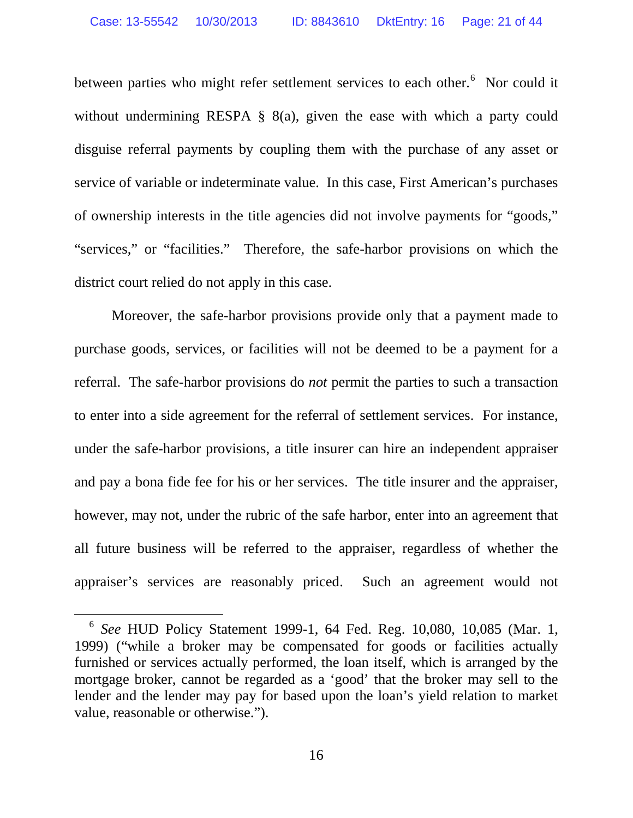between parties who might refer settlement services to each other.<sup>6</sup> Nor could it without undermining RESPA § 8(a), given the ease with which a party could disguise referral payments by coupling them with the purchase of any asset or service of variable or indeterminate value. In this case, First American's purchases of ownership interests in the title agencies did not involve payments for "goods," "services," or "facilities." Therefore, the safe-harbor provisions on which the district court relied do not apply in this case.

Moreover, the safe-harbor provisions provide only that a payment made to purchase goods, services, or facilities will not be deemed to be a payment for a referral. The safe-harbor provisions do *not* permit the parties to such a transaction to enter into a side agreement for the referral of settlement services. For instance, under the safe-harbor provisions, a title insurer can hire an independent appraiser and pay a bona fide fee for his or her services. The title insurer and the appraiser, however, may not, under the rubric of the safe harbor, enter into an agreement that all future business will be referred to the appraiser, regardless of whether the appraiser's services are reasonably priced. Such an agreement would not

 <sup>6</sup> *See* HUD Policy Statement 1999-1, 64 Fed. Reg. 10,080, 10,085 (Mar. 1, 1999) ("while a broker may be compensated for goods or facilities actually furnished or services actually performed, the loan itself, which is arranged by the mortgage broker, cannot be regarded as a 'good' that the broker may sell to the lender and the lender may pay for based upon the loan's yield relation to market value, reasonable or otherwise.").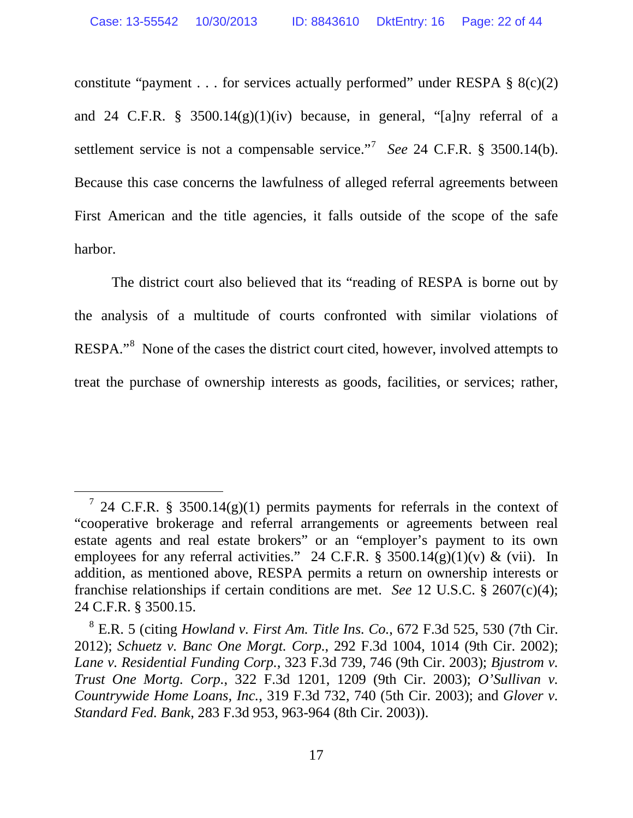constitute "payment . . . for services actually performed" under RESPA  $\S$  8(c)(2) and 24 C.F.R. § 3500.14(g)(1)(iv) because, in general, "[a]ny referral of a settlement service is not a compensable service."<sup>7</sup> See 24 C.F.R. § 3500.14(b). Because this case concerns the lawfulness of alleged referral agreements between First American and the title agencies, it falls outside of the scope of the safe harbor.

The district court also believed that its "reading of RESPA is borne out by the analysis of a multitude of courts confronted with similar violations of RESPA."<sup>8</sup> None of the cases the district court cited, however, involved attempts to treat the purchase of ownership interests as goods, facilities, or services; rather,

<sup>&</sup>lt;sup>7</sup> 24 C.F.R. § 3500.14(g)(1) permits payments for referrals in the context of "cooperative brokerage and referral arrangements or agreements between real estate agents and real estate brokers" or an "employer's payment to its own employees for any referral activities." 24 C.F.R. § 3500.14(g)(1)(v) & (vii). In addition, as mentioned above, RESPA permits a return on ownership interests or franchise relationships if certain conditions are met. *See* 12 U.S.C. § 2607(c)(4); 24 C.F.R. § 3500.15.

<sup>8</sup> E.R. 5 (citing *Howland v. First Am. Title Ins. Co.*, 672 F.3d 525, 530 (7th Cir. 2012); *Schuetz v. Banc One Morgt. Corp.*, 292 F.3d 1004, 1014 (9th Cir. 2002); *Lane v. Residential Funding Corp.*, 323 F.3d 739, 746 (9th Cir. 2003); *Bjustrom v. Trust One Mortg. Corp.*, 322 F.3d 1201, 1209 (9th Cir. 2003); *O'Sullivan v. Countrywide Home Loans, Inc.*, 319 F.3d 732, 740 (5th Cir. 2003); and *Glover v. Standard Fed. Bank*, 283 F.3d 953, 963-964 (8th Cir. 2003)).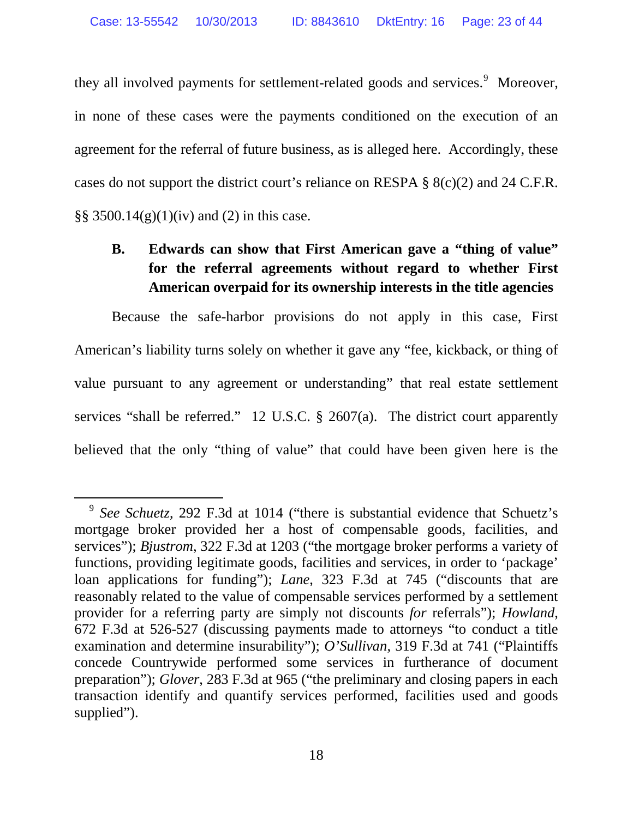they all involved payments for settlement-related goods and services.<sup>9</sup> Moreover, in none of these cases were the payments conditioned on the execution of an agreement for the referral of future business, as is alleged here. Accordingly, these cases do not support the district court's reliance on RESPA § 8(c)(2) and 24 C.F.R. §§ 3500.14(g)(1)(iv) and (2) in this case.

## **B. Edwards can show that First American gave a "thing of value" for the referral agreements without regard to whether First American overpaid for its ownership interests in the title agencies**

Because the safe-harbor provisions do not apply in this case, First American's liability turns solely on whether it gave any "fee, kickback, or thing of value pursuant to any agreement or understanding" that real estate settlement services "shall be referred." 12 U.S.C. § 2607(a). The district court apparently believed that the only "thing of value" that could have been given here is the

 <sup>9</sup> *See Schuetz*, 292 F.3d at 1014 ("there is substantial evidence that Schuetz's mortgage broker provided her a host of compensable goods, facilities, and services"); *Bjustrom*, 322 F.3d at 1203 ("the mortgage broker performs a variety of functions, providing legitimate goods, facilities and services, in order to 'package' loan applications for funding"); *Lane*, 323 F.3d at 745 ("discounts that are reasonably related to the value of compensable services performed by a settlement provider for a referring party are simply not discounts *for* referrals"); *Howland*, 672 F.3d at 526-527 (discussing payments made to attorneys "to conduct a title examination and determine insurability"); *O'Sullivan*, 319 F.3d at 741 ("Plaintiffs concede Countrywide performed some services in furtherance of document preparation"); *Glover*, 283 F.3d at 965 ("the preliminary and closing papers in each transaction identify and quantify services performed, facilities used and goods supplied").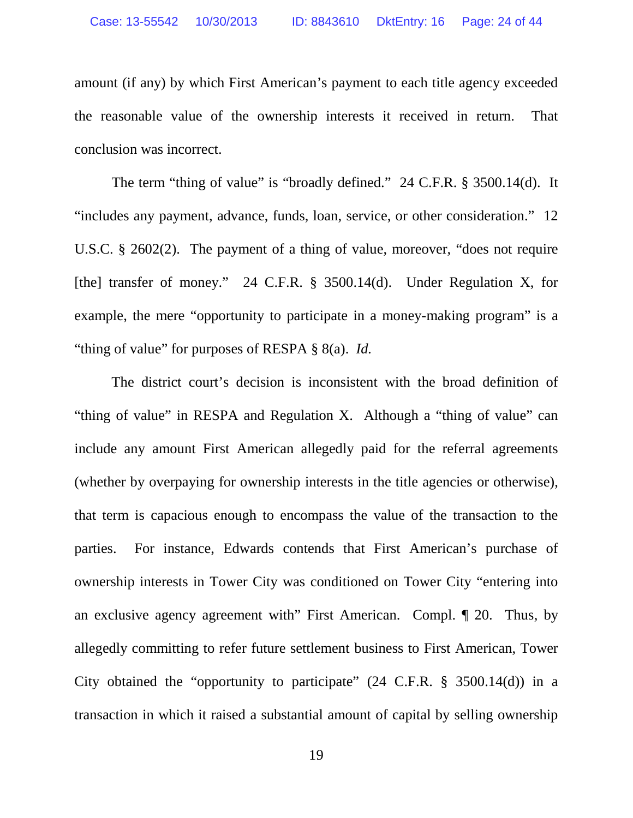amount (if any) by which First American's payment to each title agency exceeded the reasonable value of the ownership interests it received in return. That conclusion was incorrect.

The term "thing of value" is "broadly defined." 24 C.F.R. § 3500.14(d). It "includes any payment, advance, funds, loan, service, or other consideration." 12 U.S.C. § 2602(2). The payment of a thing of value, moreover, "does not require [the] transfer of money." 24 C.F.R. § 3500.14(d). Under Regulation X, for example, the mere "opportunity to participate in a money-making program" is a "thing of value" for purposes of RESPA § 8(a). *Id.*

The district court's decision is inconsistent with the broad definition of "thing of value" in RESPA and Regulation X. Although a "thing of value" can include any amount First American allegedly paid for the referral agreements (whether by overpaying for ownership interests in the title agencies or otherwise), that term is capacious enough to encompass the value of the transaction to the parties. For instance, Edwards contends that First American's purchase of ownership interests in Tower City was conditioned on Tower City "entering into an exclusive agency agreement with" First American. Compl. ¶ 20. Thus, by allegedly committing to refer future settlement business to First American, Tower City obtained the "opportunity to participate" (24 C.F.R. § 3500.14(d)) in a transaction in which it raised a substantial amount of capital by selling ownership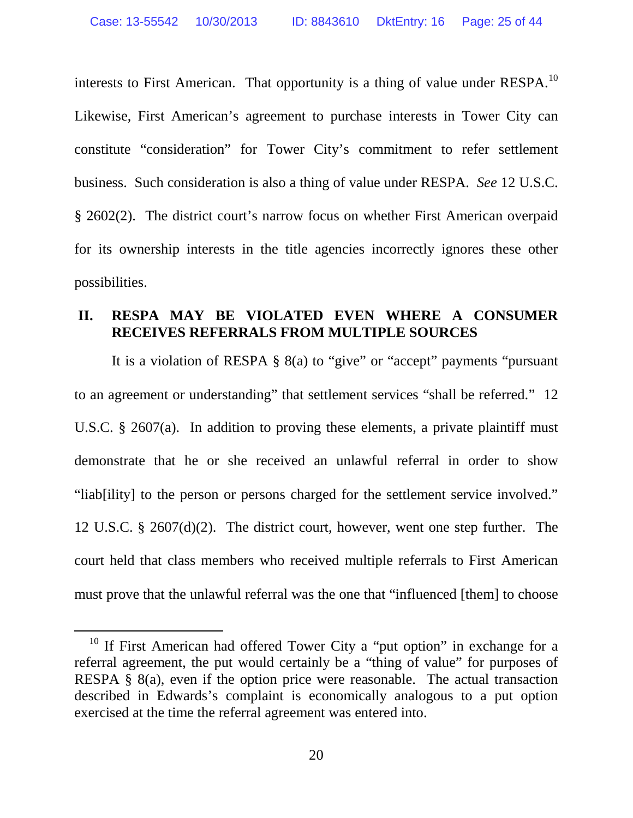interests to First American. That opportunity is a thing of value under RESPA.<sup>10</sup> Likewise, First American's agreement to purchase interests in Tower City can constitute "consideration" for Tower City's commitment to refer settlement business. Such consideration is also a thing of value under RESPA. *See* 12 U.S.C. § 2602(2). The district court's narrow focus on whether First American overpaid for its ownership interests in the title agencies incorrectly ignores these other possibilities.

### **II. RESPA MAY BE VIOLATED EVEN WHERE A CONSUMER RECEIVES REFERRALS FROM MULTIPLE SOURCES**

It is a violation of RESPA § 8(a) to "give" or "accept" payments "pursuant to an agreement or understanding" that settlement services "shall be referred." 12 U.S.C.  $\S$  2607(a). In addition to proving these elements, a private plaintiff must demonstrate that he or she received an unlawful referral in order to show "liab[ility] to the person or persons charged for the settlement service involved." 12 U.S.C. § 2607(d)(2). The district court, however, went one step further. The court held that class members who received multiple referrals to First American must prove that the unlawful referral was the one that "influenced [them] to choose

<sup>&</sup>lt;sup>10</sup> If First American had offered Tower City a "put option" in exchange for a referral agreement, the put would certainly be a "thing of value" for purposes of RESPA § 8(a), even if the option price were reasonable. The actual transaction described in Edwards's complaint is economically analogous to a put option exercised at the time the referral agreement was entered into.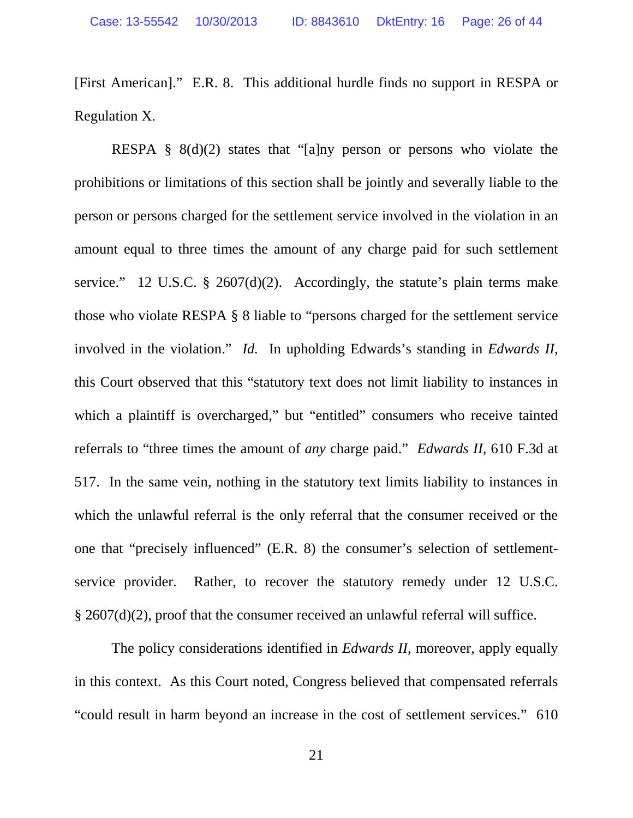[First American]." E.R. 8. This additional hurdle finds no support in RESPA or Regulation X.

RESPA §  $8(d)(2)$  states that "[a]ny person or persons who violate the prohibitions or limitations of this section shall be jointly and severally liable to the person or persons charged for the settlement service involved in the violation in an amount equal to three times the amount of any charge paid for such settlement service." 12 U.S.C.  $\S$  2607(d)(2). Accordingly, the statute's plain terms make those who violate RESPA § 8 liable to "persons charged for the settlement service involved in the violation." *Id.* In upholding Edwards's standing in *Edwards II*, this Court observed that this "statutory text does not limit liability to instances in which a plaintiff is overcharged," but "entitled" consumers who receive tainted referrals to "three times the amount of *any* charge paid." *Edwards II*, 610 F.3d at 517. In the same vein, nothing in the statutory text limits liability to instances in which the unlawful referral is the only referral that the consumer received or the one that "precisely influenced" (E.R. 8) the consumer's selection of settlementservice provider. Rather, to recover the statutory remedy under 12 U.S.C. § 2607(d)(2), proof that the consumer received an unlawful referral will suffice.

The policy considerations identified in *Edwards II*, moreover, apply equally in this context. As this Court noted, Congress believed that compensated referrals "could result in harm beyond an increase in the cost of settlement services." 610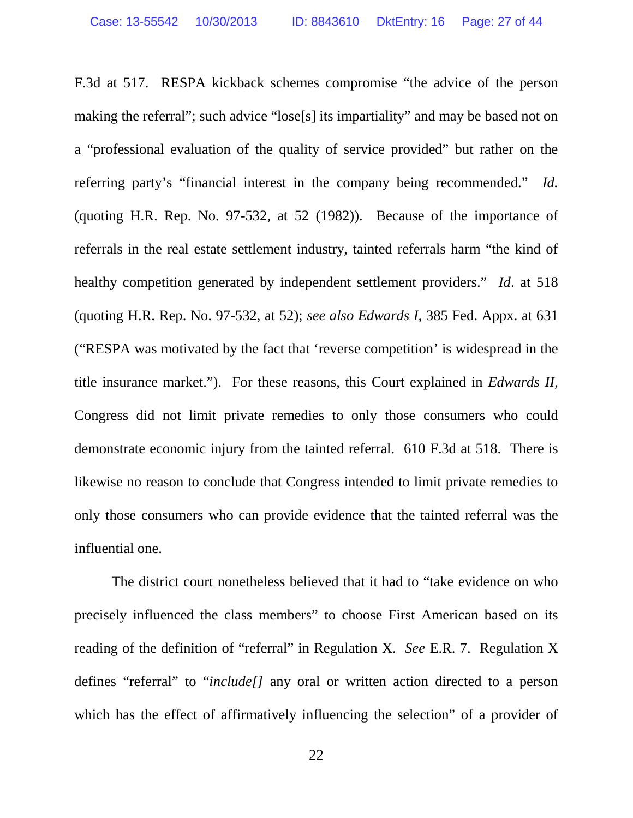F.3d at 517. RESPA kickback schemes compromise "the advice of the person making the referral"; such advice "lose[s] its impartiality" and may be based not on a "professional evaluation of the quality of service provided" but rather on the referring party's "financial interest in the company being recommended." *Id.* (quoting H.R. Rep. No. 97-532, at 52 (1982)). Because of the importance of referrals in the real estate settlement industry, tainted referrals harm "the kind of healthy competition generated by independent settlement providers." *Id*. at 518 (quoting H.R. Rep. No. 97-532, at 52); *see also Edwards I*, 385 Fed. Appx. at 631 ("RESPA was motivated by the fact that 'reverse competition' is widespread in the title insurance market."). For these reasons, this Court explained in *Edwards II*, Congress did not limit private remedies to only those consumers who could demonstrate economic injury from the tainted referral. 610 F.3d at 518. There is likewise no reason to conclude that Congress intended to limit private remedies to only those consumers who can provide evidence that the tainted referral was the influential one.

The district court nonetheless believed that it had to "take evidence on who precisely influenced the class members" to choose First American based on its reading of the definition of "referral" in Regulation X. *See* E.R. 7. Regulation X defines "referral" to "*include[]* any oral or written action directed to a person which has the effect of affirmatively influencing the selection" of a provider of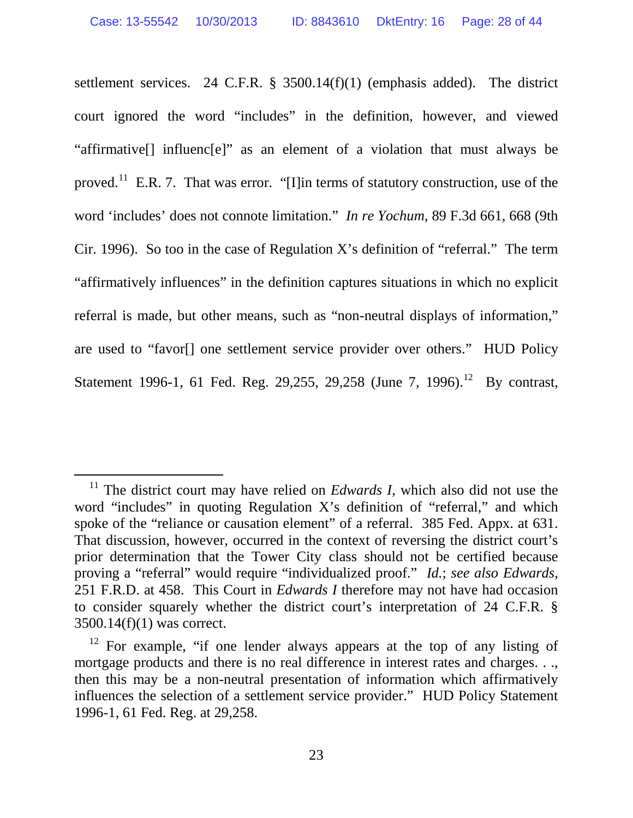settlement services. 24 C.F.R. § 3500.14(f)(1) (emphasis added). The district court ignored the word "includes" in the definition, however, and viewed "affirmative[] influenc[e]" as an element of a violation that must always be proved.<sup>11</sup> E.R. 7. That was error. "[I]in terms of statutory construction, use of the word 'includes' does not connote limitation." *In re Yochum*, 89 F.3d 661, 668 (9th Cir. 1996). So too in the case of Regulation X's definition of "referral." The term "affirmatively influences" in the definition captures situations in which no explicit referral is made, but other means, such as "non-neutral displays of information," are used to "favor[] one settlement service provider over others." HUD Policy Statement 1996-1, 61 Fed. Reg. 29,255, 29,258 (June 7, 1996).<sup>12</sup> By contrast,

<sup>&</sup>lt;sup>11</sup> The district court may have relied on *Edwards I*, which also did not use the word "includes" in quoting Regulation X's definition of "referral," and which spoke of the "reliance or causation element" of a referral. 385 Fed. Appx. at 631. That discussion, however, occurred in the context of reversing the district court's prior determination that the Tower City class should not be certified because proving a "referral" would require "individualized proof." *Id.*; *see also Edwards*, 251 F.R.D. at 458. This Court in *Edwards I* therefore may not have had occasion to consider squarely whether the district court's interpretation of 24 C.F.R. § 3500.14(f)(1) was correct.

 $12$  For example, "if one lender always appears at the top of any listing of mortgage products and there is no real difference in interest rates and charges. . ., then this may be a non-neutral presentation of information which affirmatively influences the selection of a settlement service provider." HUD Policy Statement 1996-1, 61 Fed. Reg. at 29,258.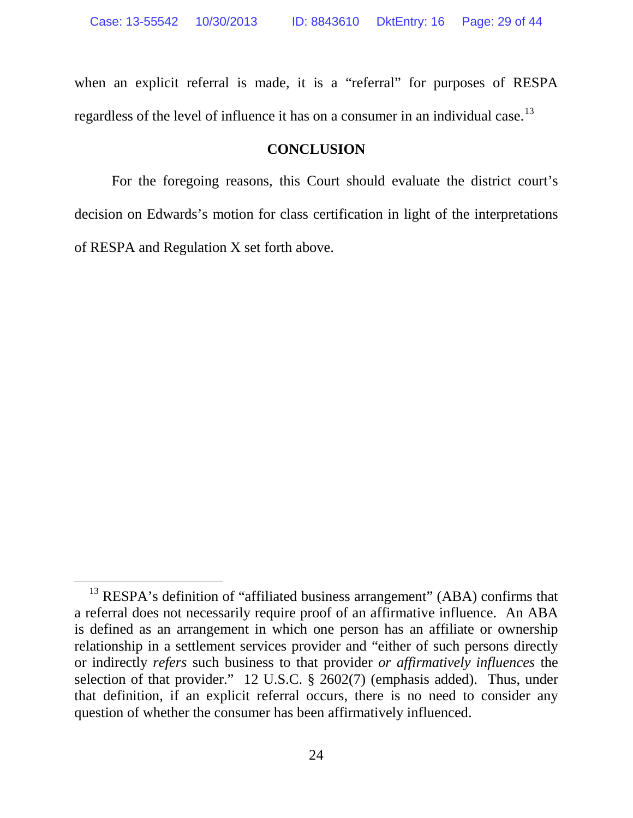when an explicit referral is made, it is a "referral" for purposes of RESPA regardless of the level of influence it has on a consumer in an individual case.<sup>13</sup>

### **CONCLUSION**

For the foregoing reasons, this Court should evaluate the district court's decision on Edwards's motion for class certification in light of the interpretations of RESPA and Regulation X set forth above.

<sup>&</sup>lt;sup>13</sup> RESPA's definition of "affiliated business arrangement" (ABA) confirms that a referral does not necessarily require proof of an affirmative influence. An ABA is defined as an arrangement in which one person has an affiliate or ownership relationship in a settlement services provider and "either of such persons directly or indirectly *refers* such business to that provider *or affirmatively influences* the selection of that provider." 12 U.S.C. § 2602(7) (emphasis added). Thus, under that definition, if an explicit referral occurs, there is no need to consider any question of whether the consumer has been affirmatively influenced.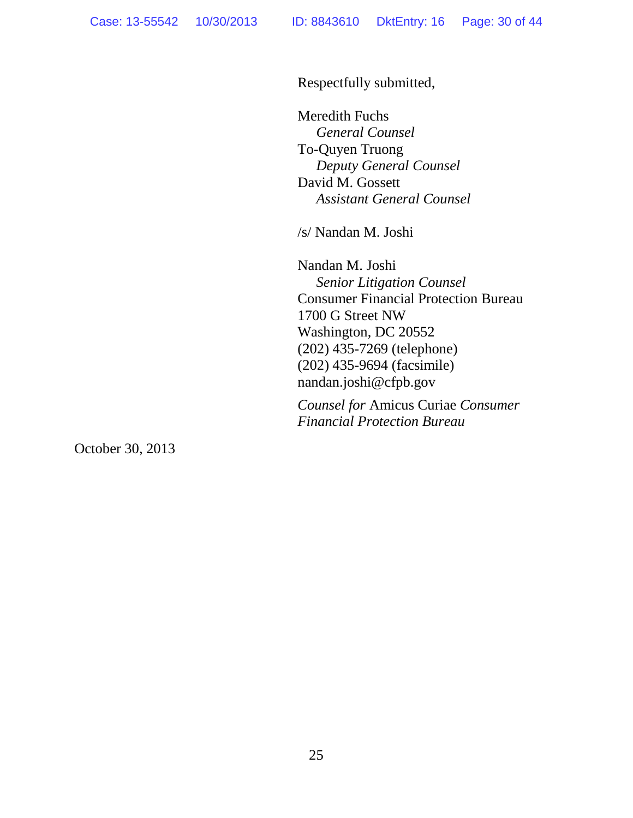Respectfully submitted,

Meredith Fuchs *General Counsel* To-Quyen Truong *Deputy General Counsel*  David M. Gossett *Assistant General Counsel* 

/s/ Nandan M. Joshi

Nandan M. Joshi *Senior Litigation Counsel* Consumer Financial Protection Bureau 1700 G Street NW Washington, DC 20552 (202) 435-7269 (telephone) (202) 435-9694 (facsimile) nandan.joshi@cfpb.gov

*Counsel for* Amicus Curiae *Consumer Financial Protection Bureau*

October 30, 2013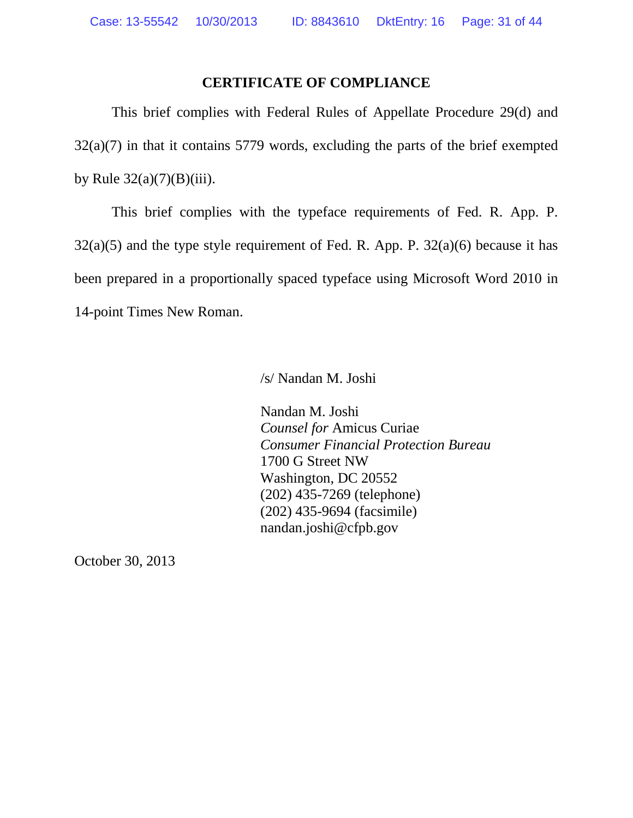### **CERTIFICATE OF COMPLIANCE**

This brief complies with Federal Rules of Appellate Procedure 29(d) and 32(a)(7) in that it contains 5779 words, excluding the parts of the brief exempted by Rule  $32(a)(7)(B)(iii)$ .

This brief complies with the typeface requirements of Fed. R. App. P.  $32(a)(5)$  and the type style requirement of Fed. R. App. P.  $32(a)(6)$  because it has been prepared in a proportionally spaced typeface using Microsoft Word 2010 in 14-point Times New Roman.

/s/ Nandan M. Joshi

Nandan M. Joshi *Counsel for* Amicus Curiae *Consumer Financial Protection Bureau* 1700 G Street NW Washington, DC 20552 (202) 435-7269 (telephone) (202) 435-9694 (facsimile) nandan.joshi@cfpb.gov

October 30, 2013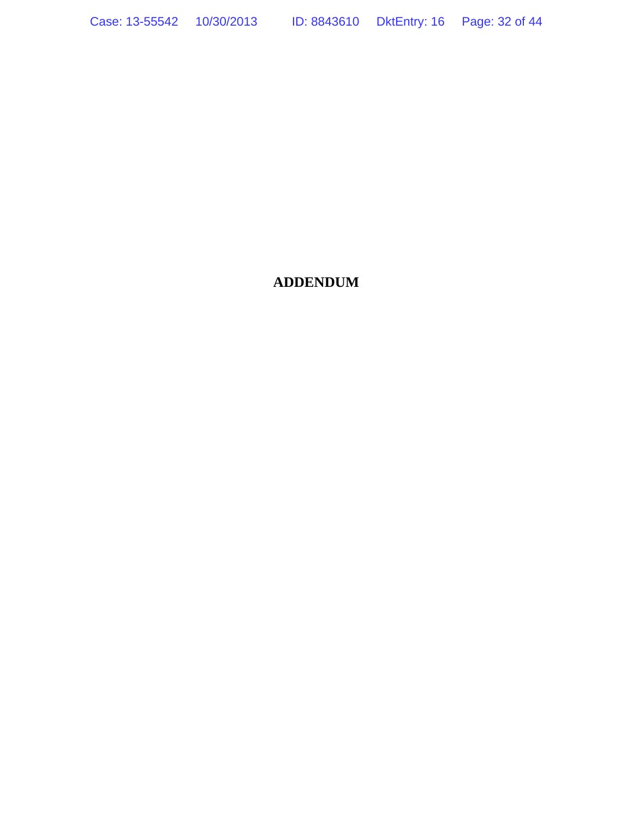Case: 13-55542 10/30/2013 ID: 8843610 DktEntry: 16 Page: 32 of 44

## **ADDENDUM**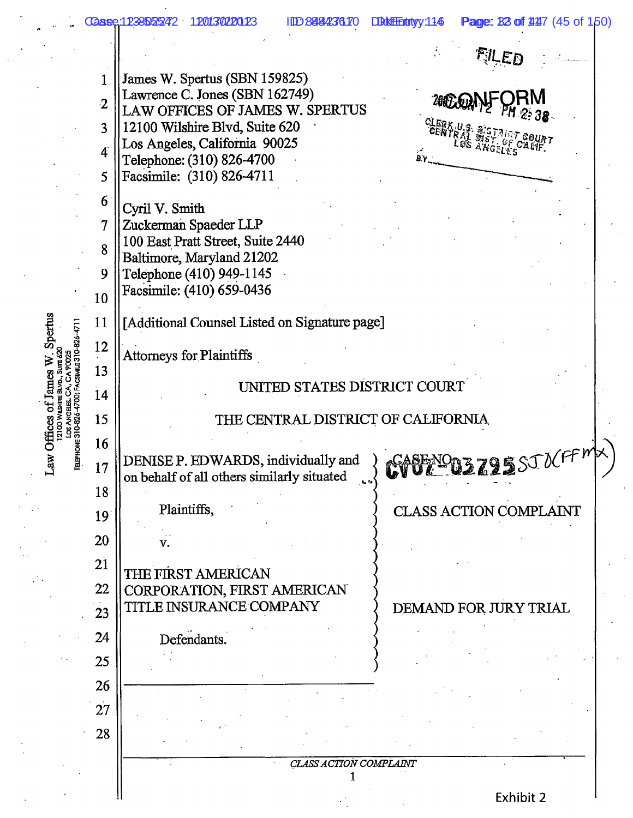1238525242 120130220123 IDD: 8484236170 DktEntryy: 114 **Page: 32 of 44**7 (45 of 150) اج  $\mathbb{R}$ James W. Spertus (SBN 159825)<br>Lawrence C. Jones (SBN 162749)<br>LAW OFFICES OF JAMES W. SPERTUS  $\overline{2}$ ╢ 12100 Wilshire Blvd, Suite 620<br>Los Angeles, California 90025 4 Telephone: (310) 826-4700<br>Facsimile: (310) 826-4711  $\frac{1}{2}$ 6 Cyril V. Smith<br>Zuckerman Spaeder LLP  $\frac{1}{\sqrt{2}}$ 100 East Pratt Street, Suite 2440 8 Baltimore, Maryland 21202<br>Telephone (410) 949-1145  $\parallel$ Facsimile: (410) 659-0436 10 Spertus [Additional Counsel Listed on Signature page] 11 12 **Attorneys for Plaintiffs** Law Offices of James W 13 UNITED STATES DISTRICT COURT **ГЕLEPHONE 310-826-4700; FA**  $14$ 15 THE CENTRAL DISTRICT OF CALIFORNIA 16 **MODE ZOS** STUCFM DENISE P. EDWARDS, individually and<br>on behalf of all others similarly situated 17 18 Plaintiffs, **CLASS ACTION COMPLAINT** 19 20 v.  $21$ THE FIRST AMERICAN CORPORATION, FIRST AMERICAN  $\Vert$ TITLE INSURANCE COMPANY DEMAND FOR JURY TRIAL  $\cdot \parallel$ Defendants. 25 26 27 28 CLASS ACTION COMPLAINT 1

Exhibit 2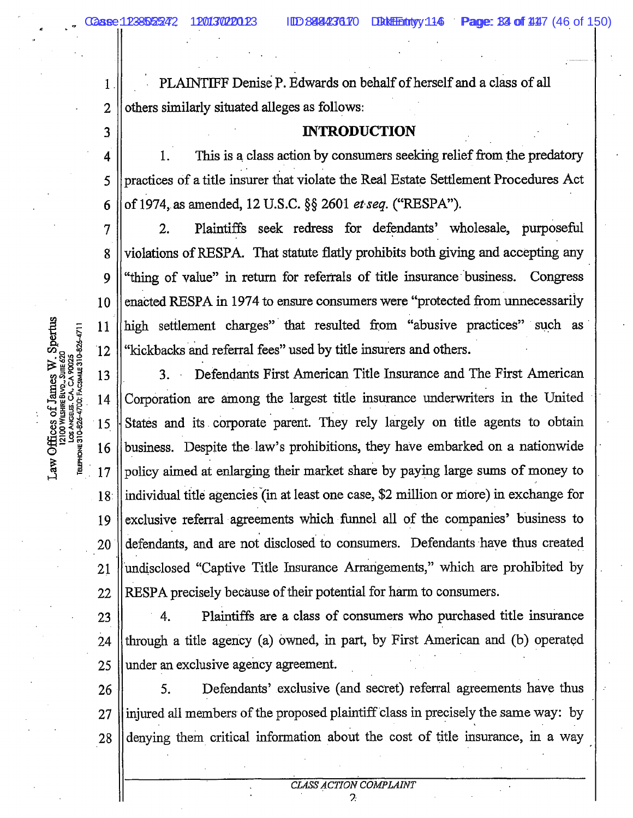3

9

 $\cdot$ PLAINTIFF Denise P. Edwards on behalf of herself and a class of all  $\mathbb{R}$ others similarly situated alleges as follows:

### **INTRODUCTION**

 $\cdot \parallel$ 1. This is a class action by consumers seeking relief from the predatory practices of a title insurer that violate the Real Estate Settlement Procedures Act 5  $\frac{1}{2}$ 

 $\frac{1}{\sqrt{2}}$ Plaintiffs seek redress for defendants' wholesale, purposeful  $2.$ i II violations of RESPA. That statute flatly prohibits both giving and accepting any "thing of value" in return for referrals of title insurance business. Congress  $\mathbb{R}$ enacted RESPA in 1974 to ensure consumers were "protected from unnecessarily  $\mathbb{R}^2$ high settlement charges" that resulted from "abusive practices" such as  $\cdot \parallel$ "kickbacks and referral fees" used by title insurers and others.

 $\cdot$ Defendants First American Title Insurance and The First American 3.  $\cdot \parallel$ Corporation are among the largest title insurance underwriters in the United  $\cdot \parallel$ business. Despite the law's prohibitions, they have embarked on a nationwide 16  $\cdot \parallel$ policy aimed at enlarging their market share by paying large sums of money to individual title agencies (in at least one case, \$2 million or more) in exchange for  $18$  $\Vert$ exclusive referral agreements which funnel all of the companies' business to defendants, and are not disclosed to consumers. Defendants have thus created 20  $\mathbb{R}^2$ undisclosed "Captive Title Insurance Arrangements," which are prohibited by  $\mathbb{R}$ 

 $\frac{1}{2}$ 4. Plaintiffs are a class of consumers who purchased title insurance  $\mathbb{R}$  $\cdot$ under an exclusive agency agreement.

Defendants' exclusive (and secret) referral agreements have thus 5. 26  $\cdot \parallel$ injured all members of the proposed plaintiff class in precisely the same way: by  $\mathbb{R}$ denying them critical information about the cost of title insurance, in a way

> CLASS ACTION COMPLAINT  $\mathcal{P}$

 $\frac{1}{25}$  $UTE 620$ **J: FACSIM TOO WILS**  $\frac{1}{2}$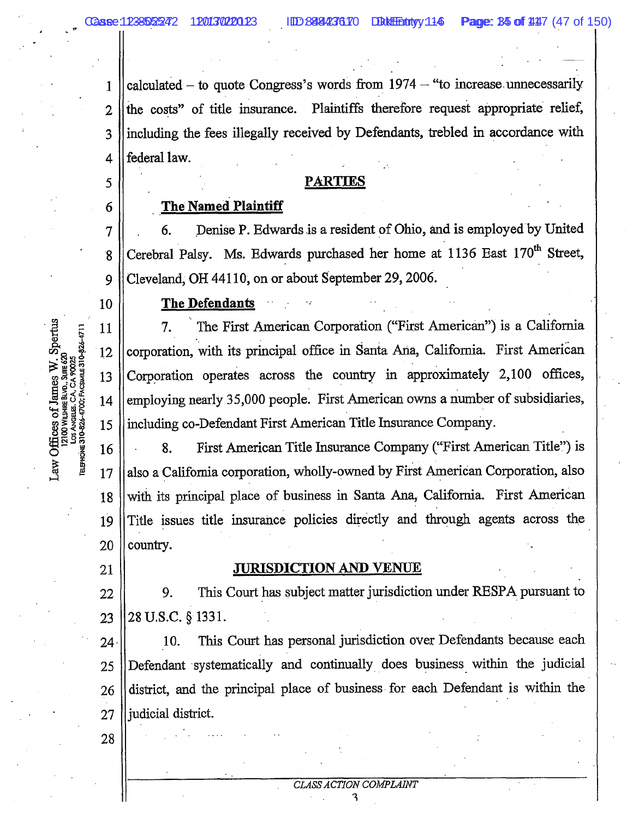$\cdot \parallel$ 

5

 $\parallel$ 

 $\cdot$ calculated – to quote Congress's words from  $1974 -$  "to increase unnecessarily  $\mathbb{R}$  $\parallel$ 3  $\cdot \parallel$ 

### **PARTIES**

### **The Named Plaintiff**

 $\cdot$ Denise P. Edwards is a resident of Ohio, and is employed by United 6. 7  $\parallel$ Cerebral Palsy. Ms. Edwards purchased her home at 1136 East 170<sup>th</sup> Street,  $\mathcal{L}$ 

The Defendants

 $\mathbb{R}$ The First American Corporation ("First American") is a California 7. corporation, with its principal office in Santa Ana, California. First American  $12$  $\Vert$ Corporation operates across the country in approximately 2,100 offices,  $\Vert$ employing nearly 35,000 people. First American owns a number of subsidiaries,  $\cdot \parallel$ including co-Defendant First American Title Insurance Company.

 $\cdot \parallel$ First American Title Insurance Company ("First American Title") is 8.  $\cdot \parallel$ also a California corporation, wholly-owned by First American Corporation, also  $,\|$ with its principal place of business in Santa Ana, California. First American  $\cdot \parallel$ country. 20

## 21

**90025** 

 $-4700;$ 

ns.<br>€

 $\overline{\mathsf{100V}}$ LOS ANGELES.

### **JURISDICTION AND VENUE**

 $\mathbb{R}$ This Court has subject matter jurisdiction under RESPA pursuant to 9.  $\parallel$ 

 $\cdot$ This Court has personal jurisdiction over Defendants because each 10.  $\Vert$  $\mathbb{R}$ district, and the principal place of business for each Defendant is within the  $\parallel$ 

28

**CLASS ACTION COMPLAINT**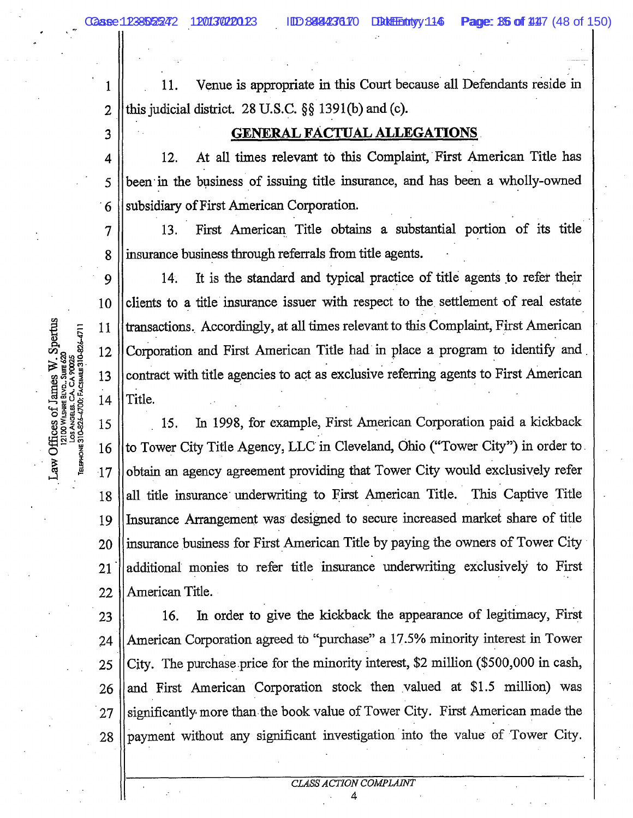Venue is appropriate in this Court because all Defendants reside in 11.  $\mathbf{1}$  $\mathbb{R}$ 

3

### **GENERAL FACTUAL ALLEGATIONS**

 $\cdot \parallel$ At all times relevant to this Complaint, First American Title has 12.  $\parallel$ been in the business of issuing title insurance, and has been a wholly-owned subsidiary of First American Corporation. 6

 $\cdot \parallel$ First American Title obtains a substantial portion of its title 13. - 11 insurance business through referrals from title agents.

╢ It is the standard and typical practice of title agents to refer their 14. clients to a title insurance issuer with respect to the settlement of real estate transactions. Accordingly, at all times relevant to this Complaint, First American Corporation and First American Title had in place a program to identify and  $\mathbb{R}$ contract with title agencies to act as exclusive referring agents to First American Title.

- 11 In 1998, for example, First American Corporation paid a kickback  $15.$  $\frac{1}{2}$  $\mathbb{I}$ obtain an agency agreement providing that Tower City would exclusively refer  $\overline{17}$  $\cdot \parallel$ all title insurance underwriting to First American Title. This Captive Title 19 ||Insurance Arrangement was designed to secure increased market share of title  $\Vert$  $\parallel$ additional monies to refer title insurance underwriting exclusively to First American Title.

In order to give the kickback the appearance of legitimacy, First 16.  $\cdot \parallel$ American Corporation agreed to "purchase" a 17.5% minority interest in Tower  $\parallel$  $\cdot \parallel$  $\cdot \parallel$ significantly more than the book value of Tower City. First American made the payment without any significant investigation into the value of Tower City. 28

. ||  $\parallel$ 

າ<br>ໄດ 

י<br>פונים<br>פונים  $\frac{1}{100}$ 

こ<br>|<br>| ひょ<br>| ひょ

11

12

14

10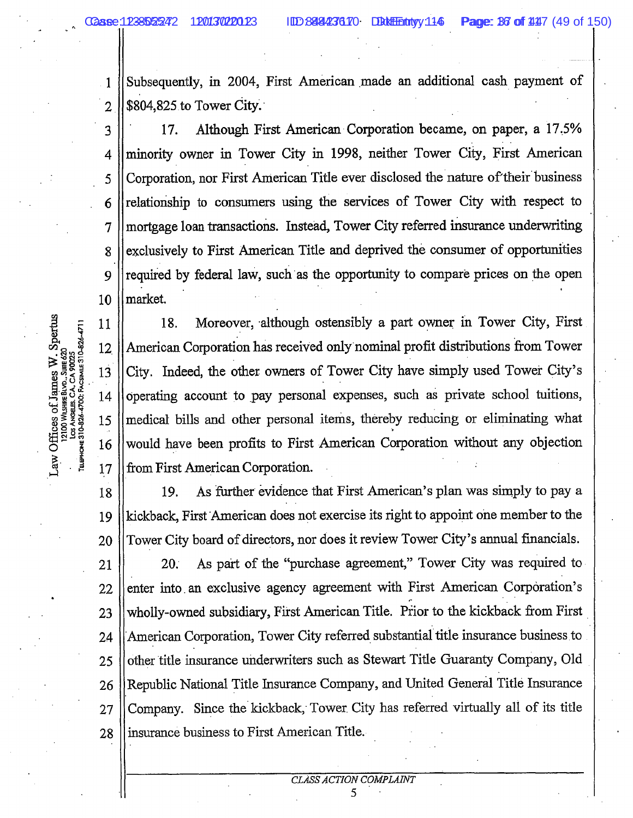$\frac{1}{16}$ ុំ ភ្លឺ |<br>BLVD..5|<br>--SHREE  $\frac{1}{2}$  $\frac{1}{2}$ 

13

16

10

 $\mathcal{A}$ Subsequently, in 2004, First American made an additional cash payment of  $\cdot \parallel$ 

 $\cdot$ Although First American Corporation became, on paper, a 17.5% 17.  $\cdot \parallel$ minority owner in Tower City in 1998, neither Tower City, First American  $\parallel$ Corporation, nor First American Title ever disclosed the nature of their business  $\cdot \parallel$  $\cdot \parallel$ mortgage loan transactions. Instead, Tower City referred insurance underwriting  $\parallel$ exclusively to First American Title and deprived the consumer of opportunities  $\parallel$ market.

 $\mathbb{R}$ 18. Moreover, although ostensibly a part owner in Tower City, First  $\Vert$ American Corporation has received only nominal profit distributions from Tower City. Indeed, the other owners of Tower City have simply used Tower City's  $\mathbb{R}$ operating account to pay personal expenses, such as private school tuitions,  $\cdot$ would have been profits to First American Corporation without any objection  $\mathbb{I}$ 

 $\parallel$ As further evidence that First American's plan was simply to pay a 19.  $\mathbb{R}$ 19 Tower City board of directors, nor does it review Tower City's annual financials. 20  $\mathcal{L}$ As part of the "purchase agreement," Tower City was required to  $20.7$  $\|$ enter into an exclusive agency agreement with First American Corporation's wholly-owned subsidiary, First American Title. Prior to the kickback from First 23  $\cdot$ American Corporation, Tower City referred substantial title insurance business to other title insurance underwriters such as Stewart Title Guaranty Company, Old 25  $\Vert$ Republic National Title Insurance Company, and United General Title Insurance  $\frac{1}{2}$ Company. Since the kickback, Tower City has referred virtually all of its title  $\Vert$ insurance business to First American Title.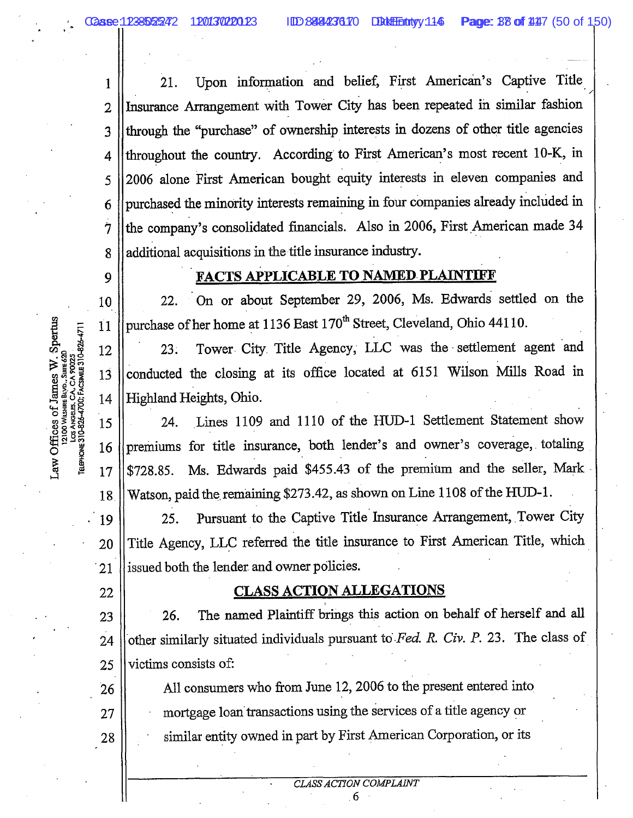i<br>U

9

**Sure 620** 

Sږ\_ave<br>د م SHEE<br>SHEE

 $\frac{1}{8}$  $\frac{1210}{2}$ 

 $\mathbb{R}$ 

22

 $\mathbb{I}$ 

28

 $\parallel$ Upon information and belief, First American's Captive Title 21.  $\mathbf{r}$ Insurance Arrangement with Tower City has been repeated in similar fashion  $\parallel$ through the "purchase" of ownership interests in dozens of other title agencies throughout the country. According to First American's most recent 10-K, in 4 2006 alone First American bought equity interests in eleven companies and 5 purchased the minority interests remaining in four companies already included in 6 the company's consolidated financials. Also in 2006, First American made 34  $\overline{7}$  $\parallel$ additional acquisitions in the title insurance industry.

## **FACTS APPLICABLE TO NAMED PLAINTIFF**

 $\mathbb{R}$ On or about September 29, 2006, Ms. Edwards settled on the  $22.$  $\cdot$ purchase of her home at 1136 East 170<sup>th</sup> Street, Cleveland, Ohio 44110.

 $\cdot \parallel$ Tower City Title Agency, LLC was the settlement agent and  $23.$ conducted the closing at its office located at 6151 Wilson Mills Road in 13  $\parallel$ 

Lines 1109 and 1110 of the HUD-1 Settlement Statement show 15 24.  $\mathbb{R}$  $\cdot \parallel$ Ms. Edwards paid \$455.43 of the premium and the seller, Mark  $$728.85.$  $\Vert$ Watson, paid the remaining \$273.42, as shown on Line 1108 of the HUD-1.

 $\Vert$ Pursuant to the Captive Title Insurance Arrangement, Tower City 25. Title Agency, LLC referred the title insurance to First American Title, which 20 1 issued both the lender and owner policies.

## **CLASS ACTION ALLEGATIONS**

 $\vert$ The named Plaintiff brings this action on behalf of herself and all 26.  $\mathbb{R}$ other similarly situated individuals pursuant to Fed. R. Civ. P. 23. The class of  $\cdot \parallel$ victims consists of:

All consumers who from June 12, 2006 to the present entered into mortgage loan transactions using the services of a title agency or similar entity owned in part by First American Corporation, or its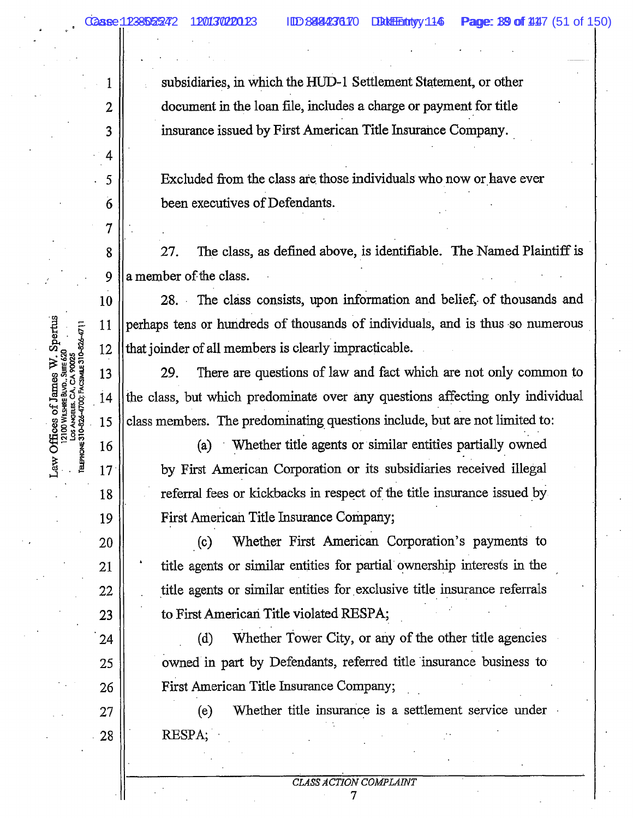$\mathbb{R}$ 

 $\cdot \parallel$ 

 $\mathbb{I}$ 

 $\parallel$ 

4

7

 $\cdot \parallel$ 

subsidiaries, in which the HUD-1 Settlement Statement, or other document in the loan file, includes a charge or payment for title insurance issued by First American Title Insurance Company.

Excluded from the class are those individuals who now or have ever been executives of Defendants.

 $\mathbf{r}$ The class, as defined above, is identifiable. The Named Plaintiff is 27.  $\parallel$ a member of the class.

 $\parallel$ 28. The class consists, upon information and belief, of thousands and  $\mathbb{R}$ perhaps tens or hundreds of thousands of individuals, and is thus so numerous 12 || that joinder of all members is clearly impracticable.

 $\Vert$ There are questions of law and fact which are not only common to 29.  $\parallel$ class members. The predominating questions include, but are not limited to: 15

> Whether title agents or similar entities partially owned  $(a)$ by First American Corporation or its subsidiaries received illegal referral fees or kickbacks in respect of the title insurance issued by First American Title Insurance Company;

> Whether First American Corporation's payments to  $(c)$ title agents or similar entities for partial ownership interests in the title agents or similar entities for exclusive title insurance referrals to First American Title violated RESPA;

Whether Tower City, or any of the other title agencies  $(d)$ owned in part by Defendants, referred title insurance business to First American Title Insurance Company;

Whether title insurance is a settlement service under  $(e)$ RESPA;

ELEPHONE 310-826-4700; FACSIMILE 310-826-471

 $\cdot \parallel$ 

 $\cdot \parallel$ 

17

 $\cdot \parallel$ 

 $\parallel$ 

 $\parallel$ 

 $\Vert$ 

 $\cdot$ 

 $\cdot \parallel$ 

25

28

់<br>ខ្មែ

i<br>DMISI × 100 r.<br>∶100 r.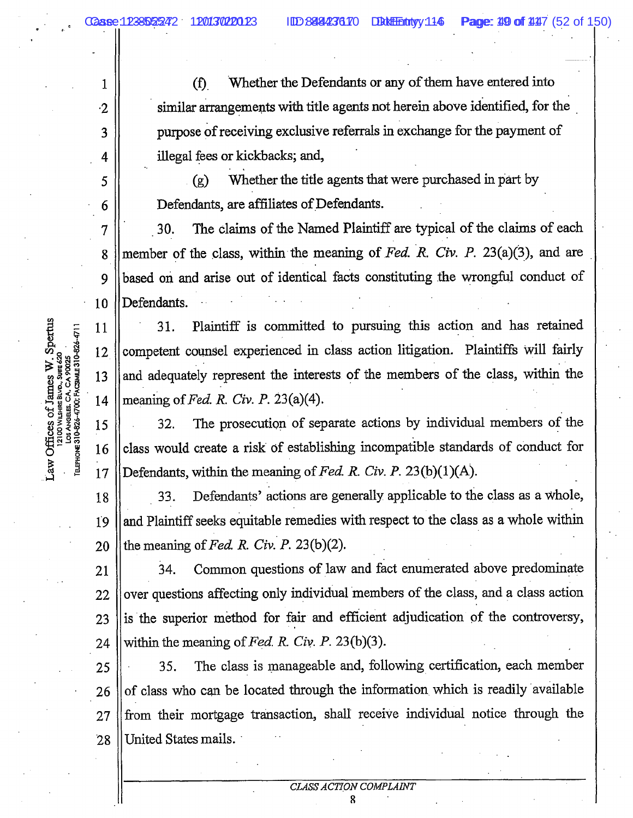$\cdot \parallel$ 

 $\parallel$ 

 $\cdot \parallel$ 

 $\cdot \parallel$ 

 $\cdot$  ||

5

10

 $17$ 

Whether the Defendants or any of them have entered into  $(f)$ similar arrangements with title agents not herein above identified, for the purpose of receiving exclusive referrals in exchange for the payment of illegal fees or kickbacks; and,

Whether the title agents that were purchased in part by  $(g)$ Defendants, are affiliates of Defendants.

 $\parallel$ The claims of the Named Plaintiff are typical of the claims of each 30.  $\cdot \parallel$  Defendants.

 $\cdot$ Plaintiff is committed to pursuing this action and has retained 31.  $\mathcal{N}$ competent counsel experienced in class action litigation. Plaintiffs will fairly  $,\|$ and adequately represent the interests of the members of the class, within the  $\cdot \parallel$ 

 $\frac{1}{2}$ The prosecution of separate actions by individual members of the 32.  $\frac{1}{2}$ class would create a risk of establishing incompatible standards of conduct for  $\parallel$ 

Defendants' actions are generally applicable to the class as a whole, 18 33.  $\parallel$ and Plaintiff seeks equitable remedies with respect to the class as a whole within 

Common questions of law and fact enumerated above predominate 34. 21  $\mathbb{R}$ over questions affecting only individual members of the class, and a class action  $\parallel$  $\parallel$ 

The class is manageable and, following certification, each member 25 35.  $\mathbb{I}$ of class who can be located through the information which is readily available  $\cdot \parallel$ from their mortgage transaction, shall receive individual notice through the  $\Vert$ United States mails.

ጸ

TELEPHONE 310-826-4700; FACSIMILE 310-826-47  $v$  in  $\frac{1}{2}$ ەد .<br>اللاگ .<br>^ **BTIAK** 12100

CLASS ACTION COMPLAINT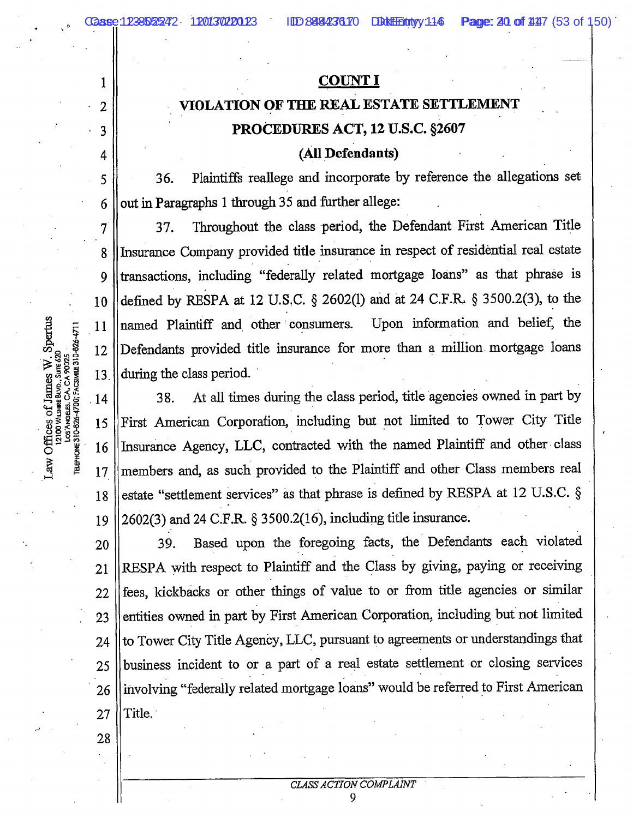#### **COUNT I**

# VIOLATION OF THE REAL ESTATE SETTLEMENT PROCEDURES ACT, 12 U.S.C. §2607

#### (All Defendants)

Plaintiffs reallege and incorporate by reference the allegations set 36.  $\Vert$ 

Throughout the class period, the Defendant First American Title 37. 8 || Insurance Company provided title insurance in respect of residential real estate  $\cdot \parallel$  $\Vert$  $\mathbb{R}$ named Plaintiff and other consumers. Upon information and belief, the  $\mathcal{L}$  $\parallel$ 

At all times during the class period, title agencies owned in part by 38. 14  $; \parallel$ 16 ||Insurance Agency, LLC, contracted with the named Plaintiff and other class 17 || members and, as such provided to the Plaintiff and other Class members real 18 || estate "settlement services" as that phrase is defined by RESPA at 12 U.S.C. § 2602(3) and 24 C.F.R. § 3500.2(16), including title insurance. 19

 $\Vert$ Based upon the foregoing facts, the Defendants each violated 39. RESPA with respect to Plaintiff and the Class by giving, paying or receiving 21  $\parallel$ entities owned in part by First American Corporation, including but not limited 23  $\mathcal{L}$  $\Box$ business incident to or a part of a real estate settlement or closing services  $\parallel$ Title. 27

28

9

i<br>ន Surre 620 ل<br>کا ڈیٹا<br>نائیٹ **TOO WILSI** 

5

 $\overline{\mathcal{I}}$ 

13

4

1

2

3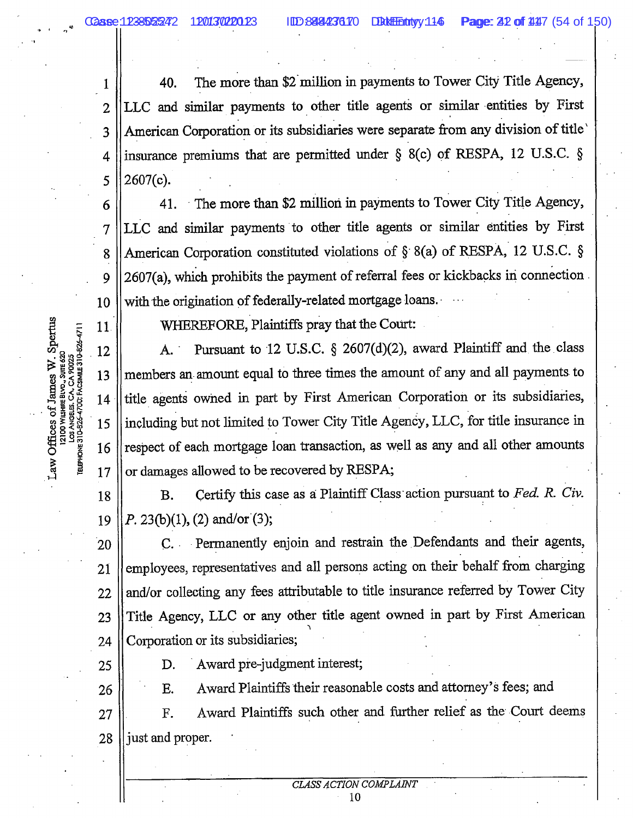4

5

6

8

9

11

 $\cdot$   $\parallel$ The more than \$2 million in payments to Tower City Title Agency, 40.  $\cdot \parallel$ LLC and similar payments to other title agents or similar entities by First  $\cdot \parallel$ American Corporation or its subsidiaries were separate from any division of title insurance premiums that are permitted under  $\S$  8(c) of RESPA, 12 U.S.C.  $\S$ 2607(c).

The more than \$2 million in payments to Tower City Title Agency, 41.  $\parallel$ American Corporation constituted violations of  $\S$  8(a) of RESPA, 12 U.S.C.  $\S$ 2607(a), which prohibits the payment of referral fees or kickbacks in connection  $\parallel$ with the origination of federally-related mortgage loans.

WHEREFORE, Plaintiffs pray that the Court:

 $\mathbb{R}$ Pursuant to 12 U.S.C. § 2607(d)(2), award Plaintiff and the class  $\mathbf{A}$ . members an amount equal to three times the amount of any and all payments to  $\frac{1}{2}$  $\cdot \parallel$  $\cdot \parallel$ respect of each mortgage loan transaction, as well as any and all other amounts <sup>.</sup> || or damages allowed to be recovered by RESPA;

 $\mathbb{I}$ Certify this case as a Plaintiff Class action pursuant to Fed. R. Civ. **B.**  $\parallel$ 

 $\parallel$ C. Permanently enjoin and restrain the Defendants and their agents,  $\mathbb{R}$ employees, representatives and all persons acting on their behalf from charging  $\mathbb{R}$  $\mathcal{L}$ Title Agency, LLC or any other title agent owned in part by First American  $\cdot \parallel$ Corporation or its subsidiaries;

> Award pre-judgment interest; D.

Award Plaintiffs their reasonable costs and attorney's fees; and E.

 $\parallel$ Award Plaintiffs such other and further relief as the Court deems F.  $\blacksquare$ 

CSIMILE 310-826-471  $\frac{1}{\alpha}$ UITE 620 יב<br>8⊾י LOS ANGELES. CA.<br>ELEPHONE 310-826-4700; FA **VILSHIR** 

- 
- 
- $\parallel$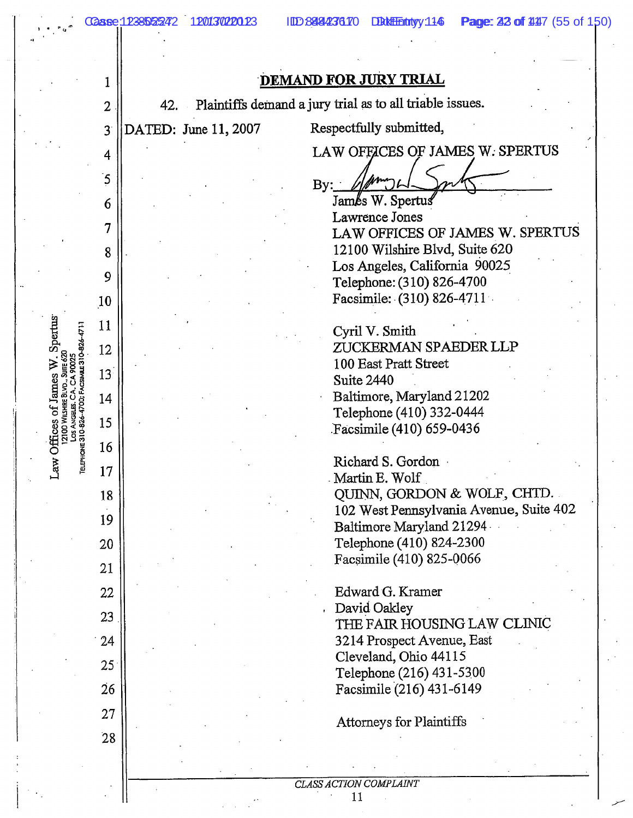ure 620<br>Ure 620

-like Bl i Wils  $\frac{12100}{2}$